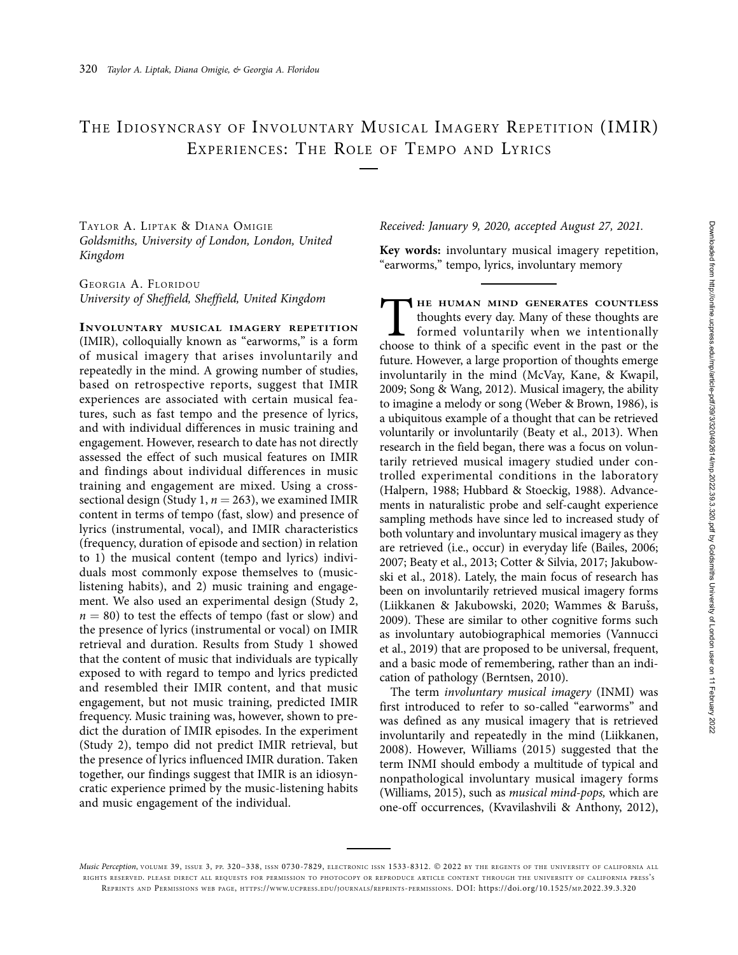# THE IDIOSYNCRASY OF INVOLUNTARY MUSICAL IMAGERY REPETITION (IMIR) EXPERIENCES: THE ROLE OF TEMPO AND LYRICS

TAYLOR A. LIPTAK & DIANA OMIGIE Goldsmiths, University of London, London, United Kingdom

GEORGIA A. FLORIDOU University of Sheffield, Sheffield, United Kingdom

INVOLUNTARY MUSICAL IMAGERY REPETITION (IMIR), colloquially known as "earworms," is a form of musical imagery that arises involuntarily and repeatedly in the mind. A growing number of studies, based on retrospective reports, suggest that IMIR experiences are associated with certain musical features, such as fast tempo and the presence of lyrics, and with individual differences in music training and engagement. However, research to date has not directly assessed the effect of such musical features on IMIR and findings about individual differences in music training and engagement are mixed. Using a crosssectional design (Study 1,  $n = 263$ ), we examined IMIR content in terms of tempo (fast, slow) and presence of lyrics (instrumental, vocal), and IMIR characteristics (frequency, duration of episode and section) in relation to 1) the musical content (tempo and lyrics) individuals most commonly expose themselves to (musiclistening habits), and 2) music training and engagement. We also used an experimental design (Study 2,  $n = 80$ ) to test the effects of tempo (fast or slow) and the presence of lyrics (instrumental or vocal) on IMIR retrieval and duration. Results from Study 1 showed that the content of music that individuals are typically exposed to with regard to tempo and lyrics predicted and resembled their IMIR content, and that music engagement, but not music training, predicted IMIR frequency. Music training was, however, shown to predict the duration of IMIR episodes. In the experiment (Study 2), tempo did not predict IMIR retrieval, but the presence of lyrics influenced IMIR duration. Taken together, our findings suggest that IMIR is an idiosyncratic experience primed by the music-listening habits and music engagement of the individual.

Received: January 9, 2020, accepted August 27, 2021.

Key words: involuntary musical imagery repetition, "earworms," tempo, lyrics, involuntary memory

THE HUMAN MIND GENERATES COUNTLESS<br>thoughts every day. Many of these thoughts are<br>formed voluntarily when we intentionally<br>choose to think of a specific event in the past or the thoughts every day. Many of these thoughts are formed voluntarily when we intentionally choose to think of a specific event in the past or the future. However, a large proportion of thoughts emerge involuntarily in the mind (McVay, Kane, & Kwapil, 2009; Song & Wang, 2012). Musical imagery, the ability to imagine a melody or song (Weber & Brown, 1986), is a ubiquitous example of a thought that can be retrieved voluntarily or involuntarily (Beaty et al., 2013). When research in the field began, there was a focus on voluntarily retrieved musical imagery studied under controlled experimental conditions in the laboratory (Halpern, 1988; Hubbard & Stoeckig, 1988). Advancements in naturalistic probe and self-caught experience sampling methods have since led to increased study of both voluntary and involuntary musical imagery as they are retrieved (i.e., occur) in everyday life (Bailes, 2006; 2007; Beaty et al., 2013; Cotter & Silvia, 2017; Jakubowski et al., 2018). Lately, the main focus of research has been on involuntarily retrieved musical imagery forms (Liikkanen & Jakubowski, 2020; Wammes & Barušs, 2009). These are similar to other cognitive forms such as involuntary autobiographical memories (Vannucci et al., 2019) that are proposed to be universal, frequent, and a basic mode of remembering, rather than an indication of pathology (Berntsen, 2010).

The term involuntary musical imagery (INMI) was first introduced to refer to so-called "earworms" and was defined as any musical imagery that is retrieved involuntarily and repeatedly in the mind (Liikkanen, 2008). However, Williams (2015) suggested that the term INMI should embody a multitude of typical and nonpathological involuntary musical imagery forms (Williams, 2015), such as musical mind-pops, which are one-off occurrences, (Kvavilashvili & Anthony, 2012),

Music Perception, VOLUME 39, ISSUE 3, PP. 320-338, ISSN 0730-7829, ELECTRONIC ISSN 1533-8312. @ 2022 BY THE REGENTS OF THE UNIVERSITY OF CALIFORNIA ALL RIGHTS RESERVED. PLEASE DIRECT ALL REQUESTS FOR PERMISSION TO PHOTOCOPY OR REPRODUCE ARTICLE CONTENT THROUGH THE UNIVERSITY OF CALIFORNIA PRESS'S REPRINTS AND PERMISSIONS WEB PAGE, [HTTPS://WWW.UCPRESS.EDU/JOURNALS/REPRINTS-PERMISSIONS.](https://www.ucpress.edu/journals/reprints-permissions) [DOI: https://doi.org/10.1525/MP.2022.39.3.320](https://doi.org/10.1525/mp.2022.39.3.320)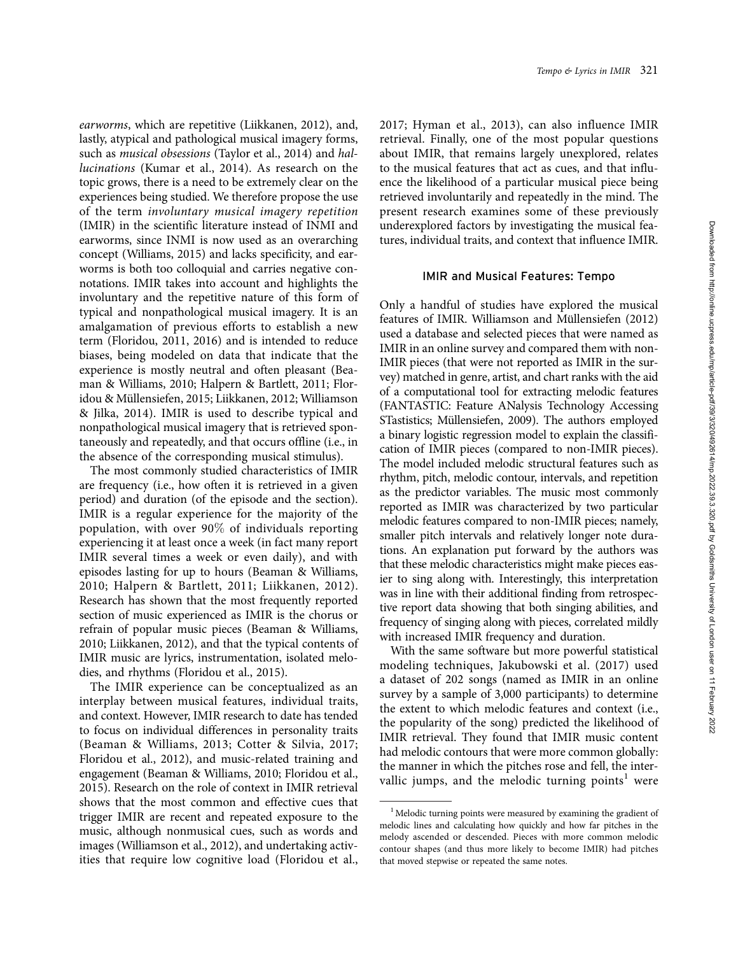earworms, which are repetitive (Liikkanen, 2012), and, lastly, atypical and pathological musical imagery forms, such as musical obsessions (Taylor et al., 2014) and hallucinations (Kumar et al., 2014). As research on the topic grows, there is a need to be extremely clear on the experiences being studied. We therefore propose the use of the term involuntary musical imagery repetition (IMIR) in the scientific literature instead of INMI and earworms, since INMI is now used as an overarching concept (Williams, 2015) and lacks specificity, and earworms is both too colloquial and carries negative connotations. IMIR takes into account and highlights the involuntary and the repetitive nature of this form of typical and nonpathological musical imagery. It is an amalgamation of previous efforts to establish a new term (Floridou, 2011, 2016) and is intended to reduce biases, being modeled on data that indicate that the experience is mostly neutral and often pleasant (Beaman & Williams, 2010; Halpern & Bartlett, 2011; Floridou & Müllensiefen, 2015; Liikkanen, 2012; Williamson & Jilka, 2014). IMIR is used to describe typical and nonpathological musical imagery that is retrieved spontaneously and repeatedly, and that occurs offline (i.e., in the absence of the corresponding musical stimulus).

The most commonly studied characteristics of IMIR are frequency (i.e., how often it is retrieved in a given period) and duration (of the episode and the section). IMIR is a regular experience for the majority of the population, with over 90% of individuals reporting experiencing it at least once a week (in fact many report IMIR several times a week or even daily), and with episodes lasting for up to hours (Beaman & Williams, 2010; Halpern & Bartlett, 2011; Liikkanen, 2012). Research has shown that the most frequently reported section of music experienced as IMIR is the chorus or refrain of popular music pieces (Beaman & Williams, 2010; Liikkanen, 2012), and that the typical contents of IMIR music are lyrics, instrumentation, isolated melodies, and rhythms (Floridou et al., 2015).

The IMIR experience can be conceptualized as an interplay between musical features, individual traits, and context. However, IMIR research to date has tended to focus on individual differences in personality traits (Beaman & Williams, 2013; Cotter & Silvia, 2017; Floridou et al., 2012), and music-related training and engagement (Beaman & Williams, 2010; Floridou et al., 2015). Research on the role of context in IMIR retrieval shows that the most common and effective cues that trigger IMIR are recent and repeated exposure to the music, although nonmusical cues, such as words and images (Williamson et al., 2012), and undertaking activities that require low cognitive load (Floridou et al., 2017; Hyman et al., 2013), can also influence IMIR retrieval. Finally, one of the most popular questions about IMIR, that remains largely unexplored, relates to the musical features that act as cues, and that influence the likelihood of a particular musical piece being retrieved involuntarily and repeatedly in the mind. The present research examines some of these previously underexplored factors by investigating the musical features, individual traits, and context that influence IMIR.

#### IMIR and Musical Features: Tempo

Only a handful of studies have explored the musical features of IMIR. Williamson and Müllensiefen (2012) used a database and selected pieces that were named as IMIR in an online survey and compared them with non-IMIR pieces (that were not reported as IMIR in the survey) matched in genre, artist, and chart ranks with the aid of a computational tool for extracting melodic features (FANTASTIC: Feature ANalysis Technology Accessing STastistics; Müllensiefen, 2009). The authors employed a binary logistic regression model to explain the classification of IMIR pieces (compared to non-IMIR pieces). The model included melodic structural features such as rhythm, pitch, melodic contour, intervals, and repetition as the predictor variables. The music most commonly reported as IMIR was characterized by two particular melodic features compared to non-IMIR pieces; namely, smaller pitch intervals and relatively longer note durations. An explanation put forward by the authors was that these melodic characteristics might make pieces easier to sing along with. Interestingly, this interpretation was in line with their additional finding from retrospective report data showing that both singing abilities, and frequency of singing along with pieces, correlated mildly with increased IMIR frequency and duration.

With the same software but more powerful statistical modeling techniques, Jakubowski et al. (2017) used a dataset of 202 songs (named as IMIR in an online survey by a sample of 3,000 participants) to determine the extent to which melodic features and context (i.e., the popularity of the song) predicted the likelihood of IMIR retrieval. They found that IMIR music content had melodic contours that were more common globally: the manner in which the pitches rose and fell, the intervallic jumps, and the melodic turning points<sup>1</sup> were

<sup>&</sup>lt;sup>1</sup> Melodic turning points were measured by examining the gradient of melodic lines and calculating how quickly and how far pitches in the melody ascended or descended. Pieces with more common melodic contour shapes (and thus more likely to become IMIR) had pitches that moved stepwise or repeated the same notes.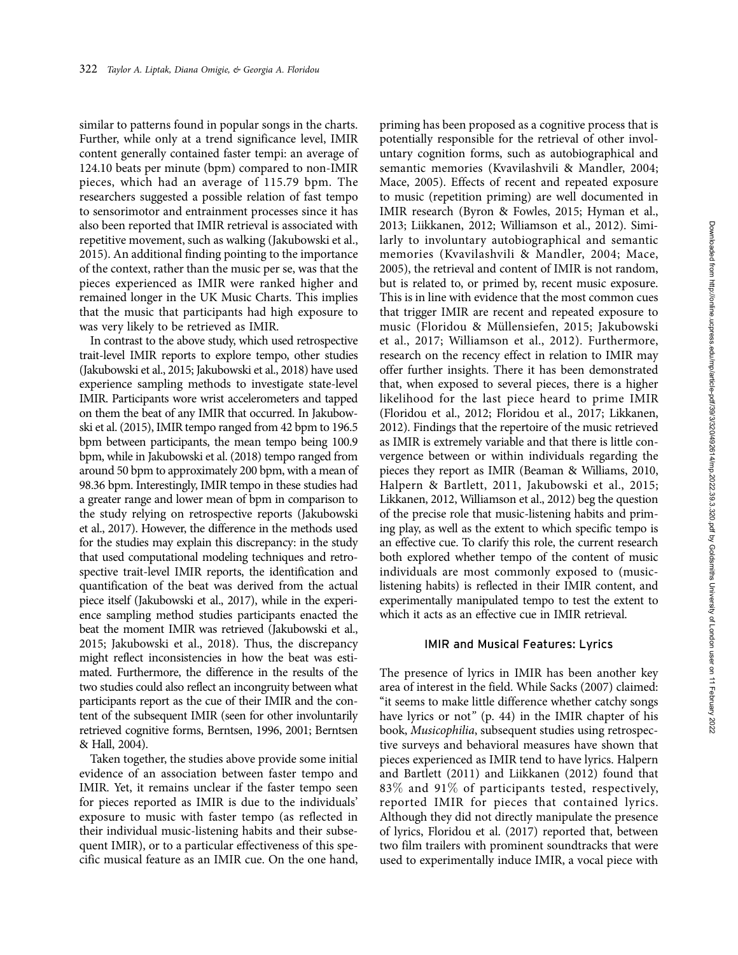similar to patterns found in popular songs in the charts. Further, while only at a trend significance level, IMIR content generally contained faster tempi: an average of 124.10 beats per minute (bpm) compared to non-IMIR pieces, which had an average of 115.79 bpm. The researchers suggested a possible relation of fast tempo to sensorimotor and entrainment processes since it has also been reported that IMIR retrieval is associated with repetitive movement, such as walking (Jakubowski et al., 2015). An additional finding pointing to the importance of the context, rather than the music per se, was that the pieces experienced as IMIR were ranked higher and remained longer in the UK Music Charts. This implies that the music that participants had high exposure to was very likely to be retrieved as IMIR.

In contrast to the above study, which used retrospective trait-level IMIR reports to explore tempo, other studies (Jakubowski et al., 2015; Jakubowski et al., 2018) have used experience sampling methods to investigate state-level IMIR. Participants wore wrist accelerometers and tapped on them the beat of any IMIR that occurred. In Jakubowski et al. (2015), IMIR tempo ranged from 42 bpm to 196.5 bpm between participants, the mean tempo being 100.9 bpm, while in Jakubowski et al. (2018) tempo ranged from around 50 bpm to approximately 200 bpm, with a mean of 98.36 bpm. Interestingly, IMIR tempo in these studies had a greater range and lower mean of bpm in comparison to the study relying on retrospective reports (Jakubowski et al., 2017). However, the difference in the methods used for the studies may explain this discrepancy: in the study that used computational modeling techniques and retrospective trait-level IMIR reports, the identification and quantification of the beat was derived from the actual piece itself (Jakubowski et al., 2017), while in the experience sampling method studies participants enacted the beat the moment IMIR was retrieved (Jakubowski et al., 2015; Jakubowski et al., 2018). Thus, the discrepancy might reflect inconsistencies in how the beat was estimated. Furthermore, the difference in the results of the two studies could also reflect an incongruity between what participants report as the cue of their IMIR and the content of the subsequent IMIR (seen for other involuntarily retrieved cognitive forms, Berntsen, 1996, 2001; Berntsen & Hall, 2004).

Taken together, the studies above provide some initial evidence of an association between faster tempo and IMIR. Yet, it remains unclear if the faster tempo seen for pieces reported as IMIR is due to the individuals' exposure to music with faster tempo (as reflected in their individual music-listening habits and their subsequent IMIR), or to a particular effectiveness of this specific musical feature as an IMIR cue. On the one hand, priming has been proposed as a cognitive process that is potentially responsible for the retrieval of other involuntary cognition forms, such as autobiographical and semantic memories (Kvavilashvili & Mandler, 2004; Mace, 2005). Effects of recent and repeated exposure to music (repetition priming) are well documented in IMIR research (Byron & Fowles, 2015; Hyman et al., 2013; Liikkanen, 2012; Williamson et al., 2012). Similarly to involuntary autobiographical and semantic memories (Kvavilashvili & Mandler, 2004; Mace, 2005), the retrieval and content of IMIR is not random, but is related to, or primed by, recent music exposure. This is in line with evidence that the most common cues that trigger IMIR are recent and repeated exposure to music (Floridou & Müllensiefen, 2015; Jakubowski et al., 2017; Williamson et al., 2012). Furthermore, research on the recency effect in relation to IMIR may offer further insights. There it has been demonstrated that, when exposed to several pieces, there is a higher likelihood for the last piece heard to prime IMIR (Floridou et al., 2012; Floridou et al., 2017; Likkanen, 2012). Findings that the repertoire of the music retrieved as IMIR is extremely variable and that there is little convergence between or within individuals regarding the pieces they report as IMIR (Beaman & Williams, 2010, Halpern & Bartlett, 2011, Jakubowski et al., 2015; Likkanen, 2012, Williamson et al., 2012) beg the question of the precise role that music-listening habits and priming play, as well as the extent to which specific tempo is an effective cue. To clarify this role, the current research both explored whether tempo of the content of music individuals are most commonly exposed to (musiclistening habits) is reflected in their IMIR content, and experimentally manipulated tempo to test the extent to which it acts as an effective cue in IMIR retrieval.

#### IMIR and Musical Features: Lyrics

The presence of lyrics in IMIR has been another key area of interest in the field. While Sacks (2007) claimed: "it seems to make little difference whether catchy songs have lyrics or not" (p. 44) in the IMIR chapter of his book, Musicophilia, subsequent studies using retrospective surveys and behavioral measures have shown that pieces experienced as IMIR tend to have lyrics. Halpern and Bartlett (2011) and Liikkanen (2012) found that 83% and 91% of participants tested, respectively, reported IMIR for pieces that contained lyrics. Although they did not directly manipulate the presence of lyrics, Floridou et al. (2017) reported that, between two film trailers with prominent soundtracks that were used to experimentally induce IMIR, a vocal piece with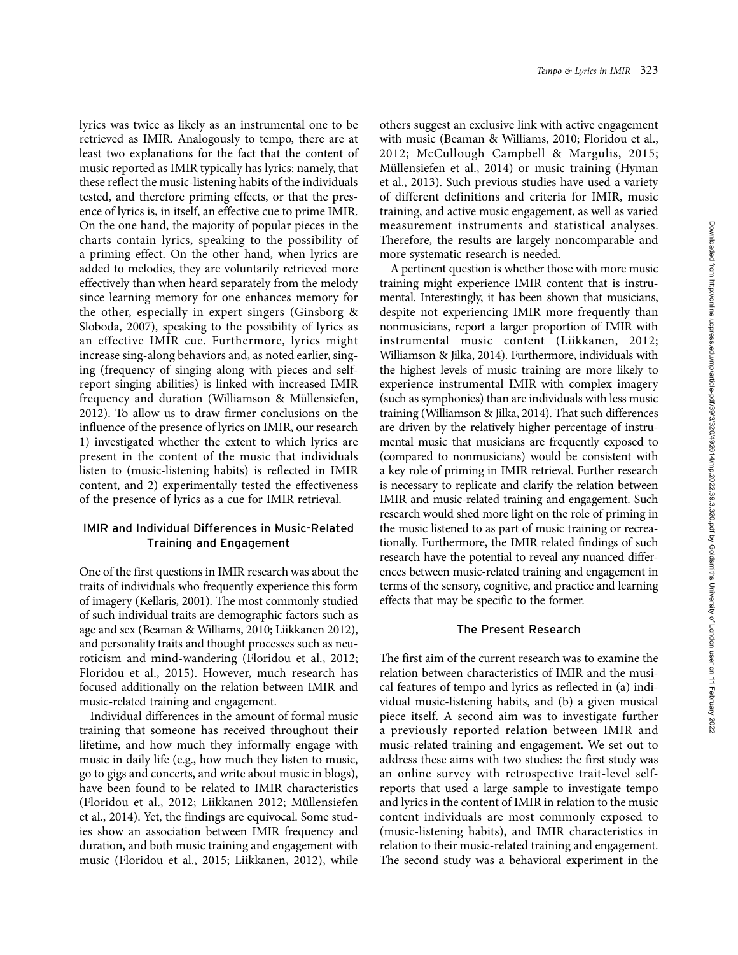lyrics was twice as likely as an instrumental one to be retrieved as IMIR. Analogously to tempo, there are at least two explanations for the fact that the content of music reported as IMIR typically has lyrics: namely, that these reflect the music-listening habits of the individuals tested, and therefore priming effects, or that the presence of lyrics is, in itself, an effective cue to prime IMIR. On the one hand, the majority of popular pieces in the charts contain lyrics, speaking to the possibility of a priming effect. On the other hand, when lyrics are added to melodies, they are voluntarily retrieved more effectively than when heard separately from the melody since learning memory for one enhances memory for the other, especially in expert singers (Ginsborg & Sloboda, 2007), speaking to the possibility of lyrics as an effective IMIR cue. Furthermore, lyrics might increase sing-along behaviors and, as noted earlier, singing (frequency of singing along with pieces and selfreport singing abilities) is linked with increased IMIR frequency and duration (Williamson & Müllensiefen, 2012). To allow us to draw firmer conclusions on the influence of the presence of lyrics on IMIR, our research 1) investigated whether the extent to which lyrics are present in the content of the music that individuals listen to (music-listening habits) is reflected in IMIR content, and 2) experimentally tested the effectiveness of the presence of lyrics as a cue for IMIR retrieval.

# IMIR and Individual Differences in Music-Related Training and Engagement

One of the first questions in IMIR research was about the traits of individuals who frequently experience this form of imagery (Kellaris, 2001). The most commonly studied of such individual traits are demographic factors such as age and sex (Beaman & Williams, 2010; Liikkanen 2012), and personality traits and thought processes such as neuroticism and mind-wandering (Floridou et al., 2012; Floridou et al., 2015). However, much research has focused additionally on the relation between IMIR and music-related training and engagement.

Individual differences in the amount of formal music training that someone has received throughout their lifetime, and how much they informally engage with music in daily life (e.g., how much they listen to music, go to gigs and concerts, and write about music in blogs), have been found to be related to IMIR characteristics (Floridou et al., 2012; Liikkanen 2012; Müllensiefen et al., 2014). Yet, the findings are equivocal. Some studies show an association between IMIR frequency and duration, and both music training and engagement with music (Floridou et al., 2015; Liikkanen, 2012), while others suggest an exclusive link with active engagement with music (Beaman & Williams, 2010; Floridou et al., 2012; McCullough Campbell & Margulis, 2015; Müllensiefen et al., 2014) or music training (Hyman et al., 2013). Such previous studies have used a variety of different definitions and criteria for IMIR, music training, and active music engagement, as well as varied measurement instruments and statistical analyses. Therefore, the results are largely noncomparable and more systematic research is needed.

Tempo & Lyrics in IMIR 323

A pertinent question is whether those with more music training might experience IMIR content that is instrumental. Interestingly, it has been shown that musicians, despite not experiencing IMIR more frequently than nonmusicians, report a larger proportion of IMIR with instrumental music content (Liikkanen, 2012; Williamson & Jilka, 2014). Furthermore, individuals with the highest levels of music training are more likely to experience instrumental IMIR with complex imagery (such as symphonies) than are individuals with less music training (Williamson & Jilka, 2014). That such differences are driven by the relatively higher percentage of instrumental music that musicians are frequently exposed to (compared to nonmusicians) would be consistent with a key role of priming in IMIR retrieval. Further research is necessary to replicate and clarify the relation between IMIR and music-related training and engagement. Such research would shed more light on the role of priming in the music listened to as part of music training or recreationally. Furthermore, the IMIR related findings of such research have the potential to reveal any nuanced differences between music-related training and engagement in terms of the sensory, cognitive, and practice and learning effects that may be specific to the former.

# The Present Research

The first aim of the current research was to examine the relation between characteristics of IMIR and the musical features of tempo and lyrics as reflected in (a) individual music-listening habits, and (b) a given musical piece itself. A second aim was to investigate further a previously reported relation between IMIR and music-related training and engagement. We set out to address these aims with two studies: the first study was an online survey with retrospective trait-level selfreports that used a large sample to investigate tempo and lyrics in the content of IMIR in relation to the music content individuals are most commonly exposed to (music-listening habits), and IMIR characteristics in relation to their music-related training and engagement. The second study was a behavioral experiment in the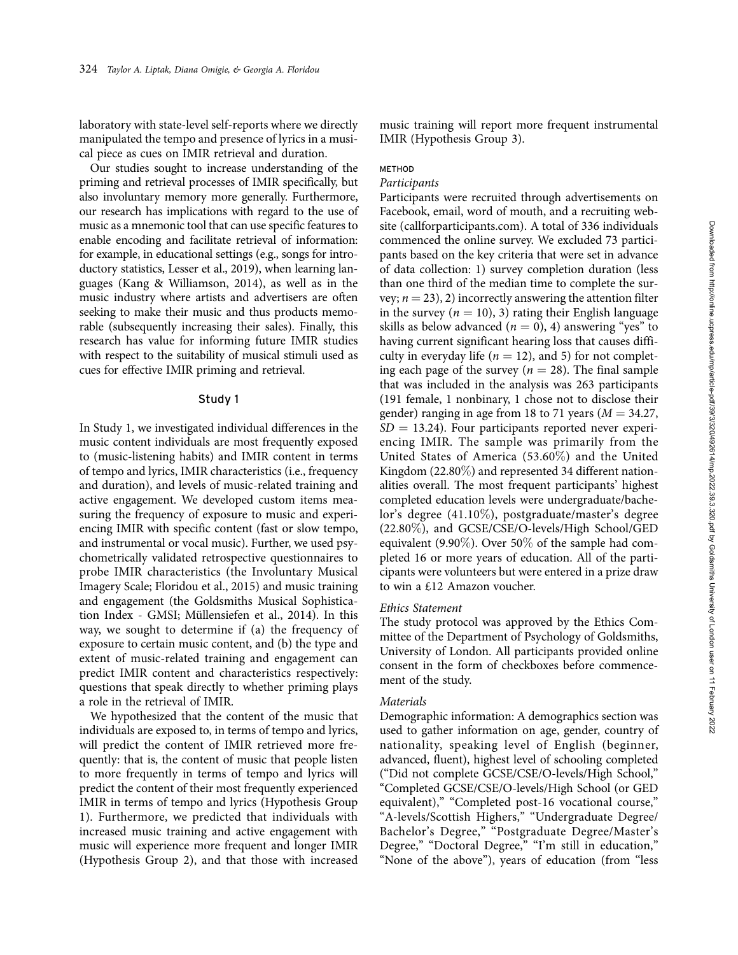laboratory with state-level self-reports where we directly manipulated the tempo and presence of lyrics in a musical piece as cues on IMIR retrieval and duration.

Our studies sought to increase understanding of the priming and retrieval processes of IMIR specifically, but also involuntary memory more generally. Furthermore, our research has implications with regard to the use of music as a mnemonic tool that can use specific features to enable encoding and facilitate retrieval of information: for example, in educational settings (e.g., songs for introductory statistics, Lesser et al., 2019), when learning languages (Kang & Williamson, 2014), as well as in the music industry where artists and advertisers are often seeking to make their music and thus products memorable (subsequently increasing their sales). Finally, this research has value for informing future IMIR studies with respect to the suitability of musical stimuli used as cues for effective IMIR priming and retrieval.

#### Study 1

In Study 1, we investigated individual differences in the music content individuals are most frequently exposed to (music-listening habits) and IMIR content in terms of tempo and lyrics, IMIR characteristics (i.e., frequency and duration), and levels of music-related training and active engagement. We developed custom items measuring the frequency of exposure to music and experiencing IMIR with specific content (fast or slow tempo, and instrumental or vocal music). Further, we used psychometrically validated retrospective questionnaires to probe IMIR characteristics (the Involuntary Musical Imagery Scale; Floridou et al., 2015) and music training and engagement (the Goldsmiths Musical Sophistication Index - GMSI; Müllensiefen et al., 2014). In this way, we sought to determine if (a) the frequency of exposure to certain music content, and (b) the type and extent of music-related training and engagement can predict IMIR content and characteristics respectively: questions that speak directly to whether priming plays a role in the retrieval of IMIR.

We hypothesized that the content of the music that individuals are exposed to, in terms of tempo and lyrics, will predict the content of IMIR retrieved more frequently: that is, the content of music that people listen to more frequently in terms of tempo and lyrics will predict the content of their most frequently experienced IMIR in terms of tempo and lyrics (Hypothesis Group 1). Furthermore, we predicted that individuals with increased music training and active engagement with music will experience more frequent and longer IMIR (Hypothesis Group 2), and that those with increased

music training will report more frequent instrumental IMIR (Hypothesis Group 3).

# METHOD

#### Participants

Participants were recruited through advertisements on Facebook, email, word of mouth, and a recruiting website [\(callforparticipants.com](callforparticipants.com)). A total of 336 individuals commenced the online survey. We excluded 73 participants based on the key criteria that were set in advance of data collection: 1) survey completion duration (less than one third of the median time to complete the survey;  $n = 23$ ), 2) incorrectly answering the attention filter in the survey ( $n = 10$ ), 3) rating their English language skills as below advanced  $(n = 0)$ , 4) answering "yes" to having current significant hearing loss that causes difficulty in everyday life ( $n = 12$ ), and 5) for not completing each page of the survey ( $n = 28$ ). The final sample that was included in the analysis was 263 participants (191 female, 1 nonbinary, 1 chose not to disclose their gender) ranging in age from 18 to 71 years ( $M = 34.27$ ,  $SD = 13.24$ ). Four participants reported never experiencing IMIR. The sample was primarily from the United States of America (53.60%) and the United Kingdom (22.80%) and represented 34 different nationalities overall. The most frequent participants' highest completed education levels were undergraduate/bachelor's degree (41.10%), postgraduate/master's degree (22.80%), and GCSE/CSE/O-levels/High School/GED equivalent (9.90%). Over 50% of the sample had completed 16 or more years of education. All of the participants were volunteers but were entered in a prize draw to win a £12 Amazon voucher.

## Ethics Statement

The study protocol was approved by the Ethics Committee of the Department of Psychology of Goldsmiths, University of London. All participants provided online consent in the form of checkboxes before commencement of the study.

#### Materials

Demographic information: A demographics section was used to gather information on age, gender, country of nationality, speaking level of English (beginner, advanced, fluent), highest level of schooling completed (''Did not complete GCSE/CSE/O-levels/High School," ''Completed GCSE/CSE/O-levels/High School (or GED equivalent)," "Completed post-16 vocational course," ''A-levels/Scottish Highers," ''Undergraduate Degree/ Bachelor's Degree," ''Postgraduate Degree/Master's Degree," "Doctoral Degree," "I'm still in education," "None of the above"), years of education (from "less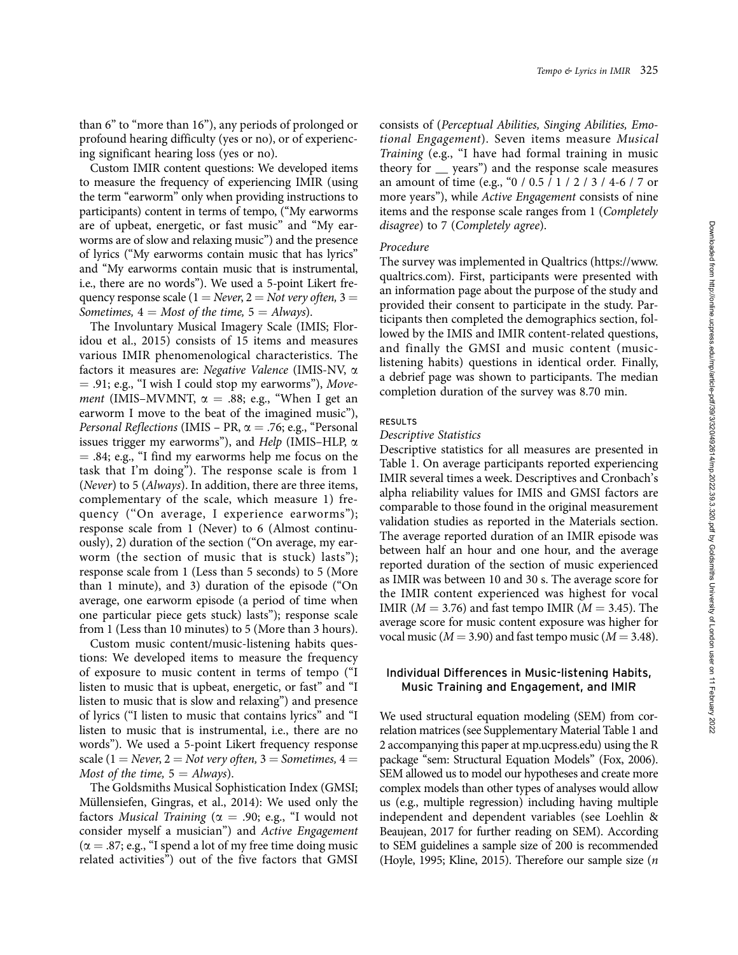than 6" to "more than 16"), any periods of prolonged or profound hearing difficulty (yes or no), or of experiencing significant hearing loss (yes or no).

Custom IMIR content questions: We developed items to measure the frequency of experiencing IMIR (using the term "earworm" only when providing instructions to participants) content in terms of tempo, (''My earworms are of upbeat, energetic, or fast music" and ''My earworms are of slow and relaxing music") and the presence of lyrics (''My earworms contain music that has lyrics" and ''My earworms contain music that is instrumental, i.e., there are no words"). We used a 5-point Likert frequency response scale ( $1 = Never$ ,  $2 = Not very often$ ,  $3 =$ Sometimes,  $4 = Most of the time, 5 = Always$ .

The Involuntary Musical Imagery Scale (IMIS; Floridou et al., 2015) consists of 15 items and measures various IMIR phenomenological characteristics. The factors it measures are: Negative Valence (IMIS-NV, a  $= .91$ ; e.g., "I wish I could stop my earworms"), Move*ment* (IMIS–MVMNT,  $\alpha = .88$ ; e.g., "When I get an earworm I move to the beat of the imagined music"), *Personal Reflections* (IMIS – PR,  $\alpha$  = .76; e.g., "Personal issues trigger my earworms"), and Help (IMIS–HLP,  $\alpha$  $=$  .84; e.g., "I find my earworms help me focus on the task that I'm doing"). The response scale is from 1 (Never) to 5 (Always). In addition, there are three items, complementary of the scale, which measure 1) frequency (''On average, I experience earworms"); response scale from 1 (Never) to 6 (Almost continuously), 2) duration of the section (''On average, my earworm (the section of music that is stuck) lasts"); response scale from 1 (Less than 5 seconds) to 5 (More than 1 minute), and 3) duration of the episode (''On average, one earworm episode (a period of time when one particular piece gets stuck) lasts"); response scale from 1 (Less than 10 minutes) to 5 (More than 3 hours).

Custom music content/music-listening habits questions: We developed items to measure the frequency of exposure to music content in terms of tempo (''I listen to music that is upbeat, energetic, or fast" and ''I listen to music that is slow and relaxing") and presence of lyrics (''I listen to music that contains lyrics" and ''I listen to music that is instrumental, i.e., there are no words"). We used a 5-point Likert frequency response scale (1 = Never, 2 = Not very often, 3 = Sometimes, 4 = Most of the time,  $5 =$  Always).

The Goldsmiths Musical Sophistication Index (GMSI; Müllensiefen, Gingras, et al., 2014): We used only the factors Musical Training ( $\alpha = .90$ ; e.g., "I would not consider myself a musician") and Active Engagement  $(\alpha = .87; e.g., "I spend a lot of my free time doing music")$ related activities") out of the five factors that GMSI

consists of (Perceptual Abilities, Singing Abilities, Emotional Engagement). Seven items measure Musical Training (e.g., "I have had formal training in music theory for \_\_ years") and the response scale measures an amount of time (e.g., "0 / 0.5 / 1 / 2 / 3 / 4-6 / 7 or more years"), while Active Engagement consists of nine items and the response scale ranges from 1 (Completely disagree) to 7 (Completely agree).

#### Procedure

The survey was implemented in Qualtrics [\(https://www.](https://www.qualtrics.com) [qualtrics.com](https://www.qualtrics.com)). First, participants were presented with an information page about the purpose of the study and provided their consent to participate in the study. Participants then completed the demographics section, followed by the IMIS and IMIR content-related questions, and finally the GMSI and music content (musiclistening habits) questions in identical order. Finally, a debrief page was shown to participants. The median completion duration of the survey was 8.70 min.

#### RESULTS

#### Descriptive Statistics

Descriptive statistics for all measures are presented in Table 1. On average participants reported experiencing IMIR several times a week. Descriptives and Cronbach's alpha reliability values for IMIS and GMSI factors are comparable to those found in the original measurement validation studies as reported in the Materials section. The average reported duration of an IMIR episode was between half an hour and one hour, and the average reported duration of the section of music experienced as IMIR was between 10 and 30 s. The average score for the IMIR content experienced was highest for vocal IMIR ( $M = 3.76$ ) and fast tempo IMIR ( $M = 3.45$ ). The average score for music content exposure was higher for vocal music ( $M = 3.90$ ) and fast tempo music ( $M = 3.48$ ).

# Individual Differences in Music-listening Habits, Music Training and Engagement, and IMIR

We used structural equation modeling (SEM) from correlation matrices (see Supplementary Material Table 1 and 2 accompanying this paper at [mp.ucpress.edu\)](mp.ucpress.edu) using the R package ''sem: Structural Equation Models" (Fox, 2006). SEM allowed us to model our hypotheses and create more complex models than other types of analyses would allow us (e.g., multiple regression) including having multiple independent and dependent variables (see Loehlin & Beaujean, 2017 for further reading on SEM). According to SEM guidelines a sample size of 200 is recommended (Hoyle, 1995; Kline, 2015). Therefore our sample size (n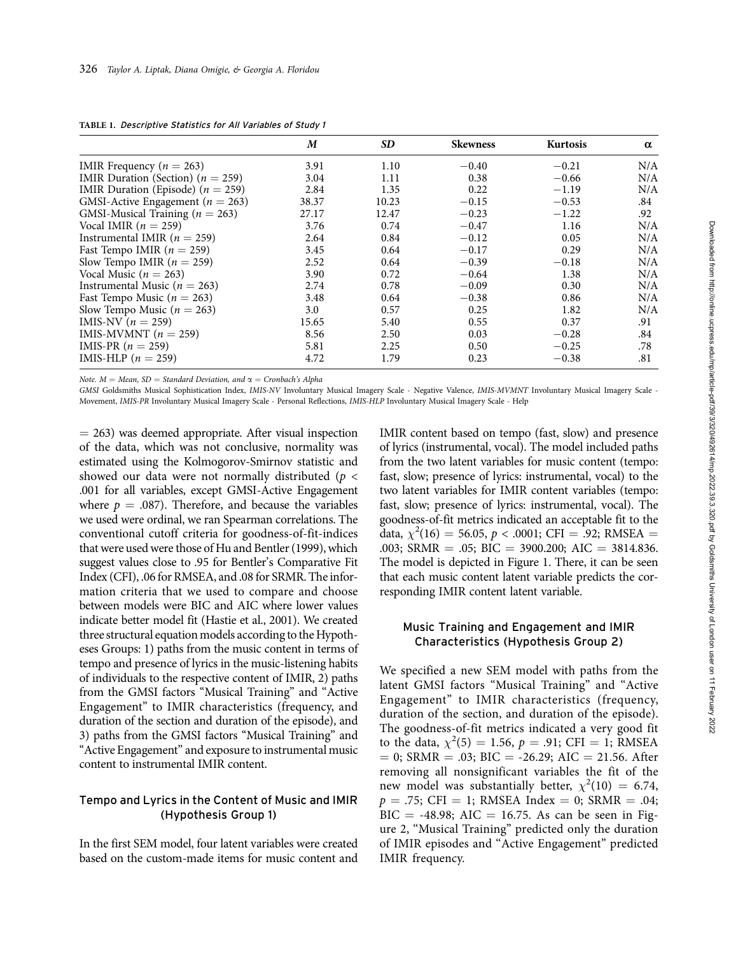|                                       | M     | <b>SD</b> | <b>Skewness</b> | Kurtosis | $\alpha$ |
|---------------------------------------|-------|-----------|-----------------|----------|----------|
| IMIR Frequency ( $n = 263$ )          | 3.91  | 1.10      | $-0.40$         | $-0.21$  | N/A      |
| IMIR Duration (Section) ( $n = 259$ ) | 3.04  | 1.11      | 0.38            | $-0.66$  | N/A      |
| IMIR Duration (Episode) ( $n = 259$ ) | 2.84  | 1.35      | 0.22            | $-1.19$  | N/A      |
| GMSI-Active Engagement ( $n = 263$ )  | 38.37 | 10.23     | $-0.15$         | $-0.53$  | .84      |
| GMSI-Musical Training ( $n = 263$ )   | 27.17 | 12.47     | $-0.23$         | $-1.22$  | .92      |
| Vocal IMIR ( $n = 259$ )              | 3.76  | 0.74      | $-0.47$         | 1.16     | N/A      |
| Instrumental IMIR ( $n = 259$ )       | 2.64  | 0.84      | $-0.12$         | 0.05     | N/A      |
| Fast Tempo IMIR ( $n = 259$ )         | 3.45  | 0.64      | $-0.17$         | 0.29     | N/A      |
| Slow Tempo IMIR ( $n = 259$ )         | 2.52  | 0.64      | $-0.39$         | $-0.18$  | N/A      |
| Vocal Music ( $n = 263$ )             | 3.90  | 0.72      | $-0.64$         | 1.38     | N/A      |
| Instrumental Music ( $n = 263$ )      | 2.74  | 0.78      | $-0.09$         | 0.30     | N/A      |
| Fast Tempo Music ( $n = 263$ )        | 3.48  | 0.64      | $-0.38$         | 0.86     | N/A      |
| Slow Tempo Music ( $n = 263$ )        | 3.0   | 0.57      | 0.25            | 1.82     | N/A      |
| IMIS-NV $(n = 259)$                   | 15.65 | 5.40      | 0.55            | 0.37     | .91      |
| IMIS-MVMNT $(n = 259)$                | 8.56  | 2.50      | 0.03            | $-0.28$  | .84      |
| IMIS-PR $(n = 259)$                   | 5.81  | 2.25      | 0.50            | $-0.25$  | .78      |
| IMIS-HLP $(n = 259)$                  | 4.72  | 1.79      | 0.23            | $-0.38$  | .81      |

TABLE 1. Descriptive Statistics for All Variables of Study 1

Note.  $M = Mean$ , SD = Standard Deviation, and  $\alpha = Cronbach's$  Alpha

GMSI Goldsmiths Musical Sophistication Index, IMIS-NV Involuntary Musical Imagery Scale - Negative Valence, IMIS-MVMNT Involuntary Musical Imagery Scale - Movement, IMIS-PR Involuntary Musical Imagery Scale - Personal Reflections, IMIS-HLP Involuntary Musical Imagery Scale - Help

 $= 263$ ) was deemed appropriate. After visual inspection of the data, which was not conclusive, normality was estimated using the Kolmogorov-Smirnov statistic and showed our data were not normally distributed ( $p <$ .001 for all variables, except GMSI-Active Engagement where  $p = .087$ ). Therefore, and because the variables we used were ordinal, we ran Spearman correlations. The conventional cutoff criteria for goodness-of-fit-indices that were used were those of Hu and Bentler (1999), which suggest values close to .95 for Bentler's Comparative Fit Index (CFI), .06 for RMSEA, and .08 for SRMR. The information criteria that we used to compare and choose between models were BIC and AIC where lower values indicate better model fit (Hastie et al., 2001). We created three structural equation models according to the Hypotheses Groups: 1) paths from the music content in terms of tempo and presence of lyrics in the music-listening habits of individuals to the respective content of IMIR, 2) paths from the GMSI factors "Musical Training" and "Active Engagement" to IMIR characteristics (frequency, and duration of the section and duration of the episode), and 3) paths from the GMSI factors ''Musical Training" and "Active Engagement" and exposure to instrumental music content to instrumental IMIR content.

# Tempo and Lyrics in the Content of Music and IMIR (Hypothesis Group 1)

In the first SEM model, four latent variables were created based on the custom-made items for music content and IMIR content based on tempo (fast, slow) and presence of lyrics (instrumental, vocal). The model included paths from the two latent variables for music content (tempo: fast, slow; presence of lyrics: instrumental, vocal) to the two latent variables for IMIR content variables (tempo: fast, slow; presence of lyrics: instrumental, vocal). The goodness-of-fit metrics indicated an acceptable fit to the data,  $\chi^2(16) = 56.05, p < .0001$ ; CFI = .92; RMSEA = .003; SRMR = .05; BIC = 3900.200; AIC = 3814.836. The model is depicted in Figure 1. There, it can be seen that each music content latent variable predicts the corresponding IMIR content latent variable.

# Music Training and Engagement and IMIR Characteristics (Hypothesis Group 2)

We specified a new SEM model with paths from the latent GMSI factors ''Musical Training" and ''Active Engagement" to IMIR characteristics (frequency, duration of the section, and duration of the episode). The goodness-of-fit metrics indicated a very good fit to the data,  $\chi^2(5) = 1.56$ ,  $p = .91$ ; CFI = 1; RMSEA  $= 0$ ; SRMR  $= .03$ ; BIC  $= -26.29$ ; AIC  $= 21.56$ . After removing all nonsignificant variables the fit of the new model was substantially better,  $\chi^2(10) = 6.74$ ,  $p = .75$ ; CFI = 1; RMSEA Index = 0; SRMR = .04; BIC = -48.98; AIC = 16.75. As can be seen in Figure 2, "Musical Training" predicted only the duration of IMIR episodes and ''Active Engagement" predicted IMIR frequency.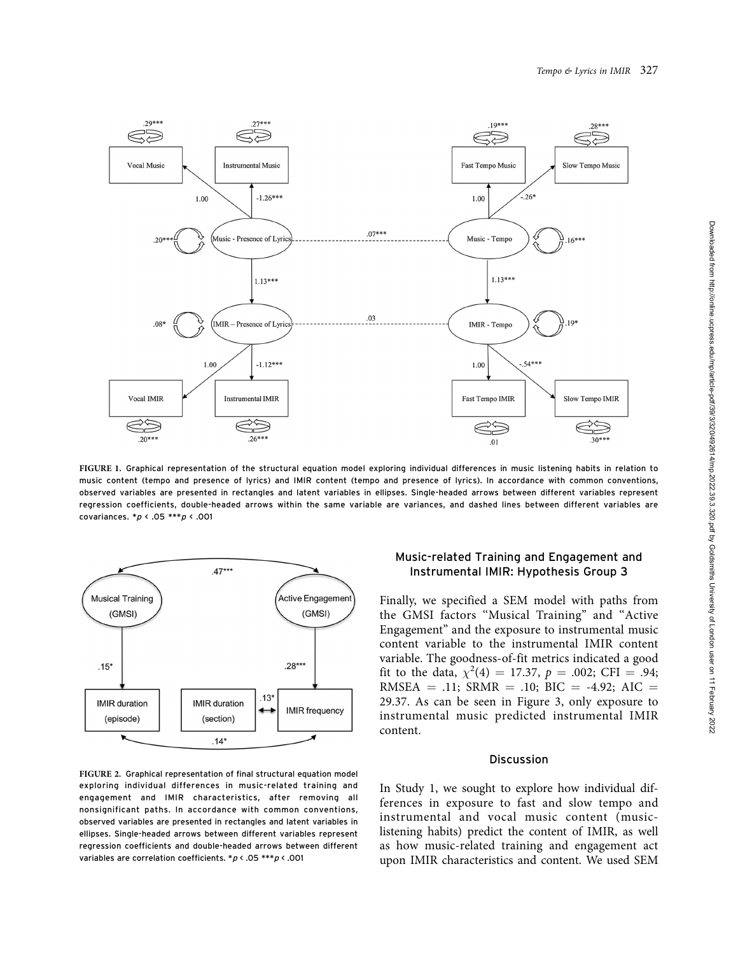

FIGURE 1. Graphical representation of the structural equation model exploring individual differences in music listening habits in relation to music content (tempo and presence of lyrics) and IMIR content (tempo and presence of lyrics). In accordance with common conventions, observed variables are presented in rectangles and latent variables in ellipses. Single-headed arrows between different variables represent regression coefficients, double-headed arrows within the same variable are variances, and dashed lines between different variables are covariances.  $* p \, \langle \, .05 \, ** p \, \langle \, .001 \,$ 



FIGURE 2. Graphical representation of final structural equation model exploring individual differences in music-related training and engagement and IMIR characteristics, after removing all nonsignificant paths. In accordance with common conventions, observed variables are presented in rectangles and latent variables in ellipses. Single-headed arrows between different variables represent regression coefficients and double-headed arrows between different variables are correlation coefficients. \*p < .05 \*\*\*p < .001

# Music-related Training and Engagement and Instrumental IMIR: Hypothesis Group 3

Finally, we specified a SEM model with paths from the GMSI factors ''Musical Training" and ''Active Engagement" and the exposure to instrumental music content variable to the instrumental IMIR content variable. The goodness-of-fit metrics indicated a good fit to the data,  $\chi^2(4) = 17.37$ ,  $p = .002$ ; CFI = .94; RMSEA = .11; SRMR = .10; BIC = -4.92; AIC = 29.37. As can be seen in Figure 3, only exposure to instrumental music predicted instrumental IMIR content.

## Discussion

In Study 1, we sought to explore how individual differences in exposure to fast and slow tempo and instrumental and vocal music content (musiclistening habits) predict the content of IMIR, as well as how music-related training and engagement act upon IMIR characteristics and content. We used SEM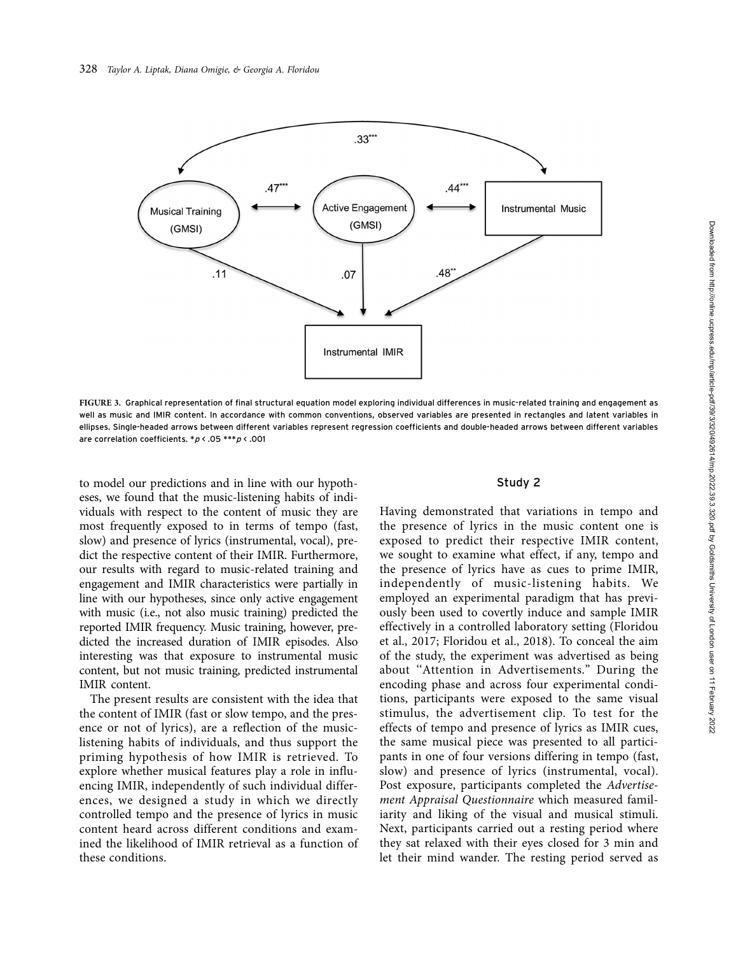

FIGURE 3. Graphical representation of final structural equation model exploring individual differences in music-related training and engagement as well as music and IMIR content. In accordance with common conventions, observed variables are presented in rectangles and latent variables in ellipses. Single-headed arrows between different variables represent regression coefficients and double-headed arrows between different variables are correlation coefficients.  $* p < .05 **p < .001$ 

to model our predictions and in line with our hypotheses, we found that the music-listening habits of individuals with respect to the content of music they are most frequently exposed to in terms of tempo (fast, slow) and presence of lyrics (instrumental, vocal), predict the respective content of their IMIR. Furthermore, our results with regard to music-related training and engagement and IMIR characteristics were partially in line with our hypotheses, since only active engagement with music (i.e., not also music training) predicted the reported IMIR frequency. Music training, however, predicted the increased duration of IMIR episodes. Also interesting was that exposure to instrumental music content, but not music training, predicted instrumental IMIR content.

The present results are consistent with the idea that the content of IMIR (fast or slow tempo, and the presence or not of lyrics), are a reflection of the musiclistening habits of individuals, and thus support the priming hypothesis of how IMIR is retrieved. To explore whether musical features play a role in influencing IMIR, independently of such individual differences, we designed a study in which we directly controlled tempo and the presence of lyrics in music content heard across different conditions and examined the likelihood of IMIR retrieval as a function of these conditions.

#### Study 2

Having demonstrated that variations in tempo and the presence of lyrics in the music content one is exposed to predict their respective IMIR content, we sought to examine what effect, if any, tempo and the presence of lyrics have as cues to prime IMIR, independently of music-listening habits. We employed an experimental paradigm that has previously been used to covertly induce and sample IMIR effectively in a controlled laboratory setting (Floridou et al., 2017; Floridou et al., 2018). To conceal the aim of the study, the experiment was advertised as being about ''Attention in Advertisements." During the encoding phase and across four experimental conditions, participants were exposed to the same visual stimulus, the advertisement clip. To test for the effects of tempo and presence of lyrics as IMIR cues, the same musical piece was presented to all participants in one of four versions differing in tempo (fast, slow) and presence of lyrics (instrumental, vocal). Post exposure, participants completed the Advertisement Appraisal Questionnaire which measured familiarity and liking of the visual and musical stimuli. Next, participants carried out a resting period where they sat relaxed with their eyes closed for 3 min and let their mind wander. The resting period served as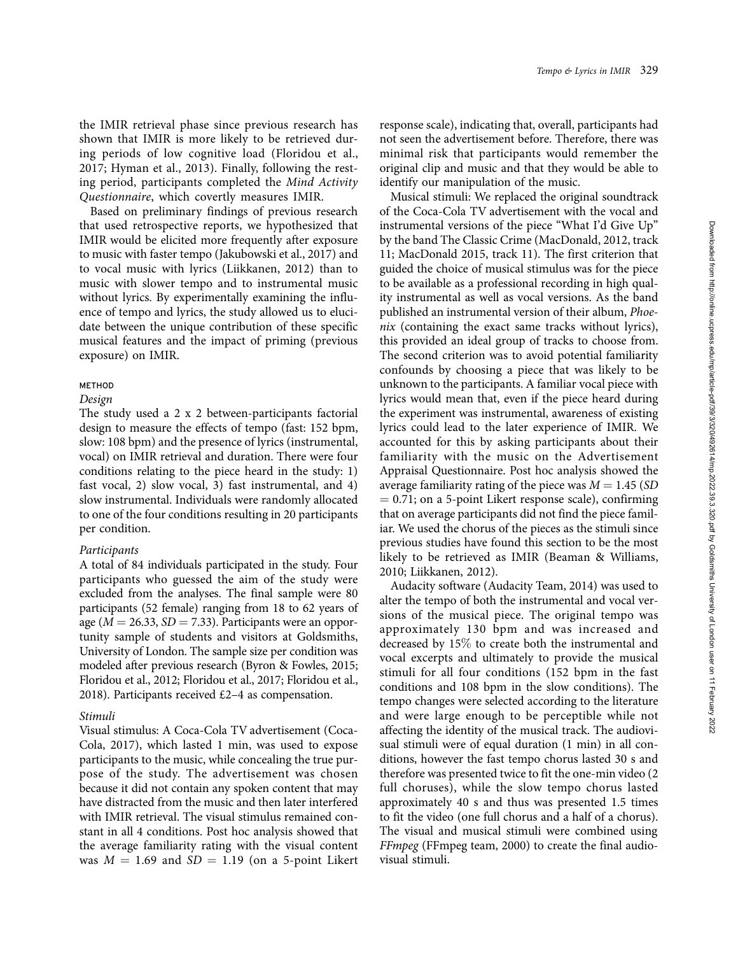the IMIR retrieval phase since previous research has shown that IMIR is more likely to be retrieved during periods of low cognitive load (Floridou et al., 2017; Hyman et al., 2013). Finally, following the resting period, participants completed the Mind Activity Questionnaire, which covertly measures IMIR.

Based on preliminary findings of previous research that used retrospective reports, we hypothesized that IMIR would be elicited more frequently after exposure to music with faster tempo (Jakubowski et al., 2017) and to vocal music with lyrics (Liikkanen, 2012) than to music with slower tempo and to instrumental music without lyrics. By experimentally examining the influence of tempo and lyrics, the study allowed us to elucidate between the unique contribution of these specific musical features and the impact of priming (previous exposure) on IMIR.

## METHOD

#### Design

The study used a 2 x 2 between-participants factorial design to measure the effects of tempo (fast: 152 bpm, slow: 108 bpm) and the presence of lyrics (instrumental, vocal) on IMIR retrieval and duration. There were four conditions relating to the piece heard in the study: 1) fast vocal, 2) slow vocal, 3) fast instrumental, and 4) slow instrumental. Individuals were randomly allocated to one of the four conditions resulting in 20 participants per condition.

## Participants

A total of 84 individuals participated in the study. Four participants who guessed the aim of the study were excluded from the analyses. The final sample were 80 participants (52 female) ranging from 18 to 62 years of age ( $M = 26.33$ ,  $SD = 7.33$ ). Participants were an opportunity sample of students and visitors at Goldsmiths, University of London. The sample size per condition was modeled after previous research (Byron & Fowles, 2015; Floridou et al., 2012; Floridou et al., 2017; Floridou et al., 2018). Participants received £2–4 as compensation.

#### Stimuli

Visual stimulus: A Coca-Cola TV advertisement (Coca-Cola, 2017), which lasted 1 min, was used to expose participants to the music, while concealing the true purpose of the study. The advertisement was chosen because it did not contain any spoken content that may have distracted from the music and then later interfered with IMIR retrieval. The visual stimulus remained constant in all 4 conditions. Post hoc analysis showed that the average familiarity rating with the visual content was  $M = 1.69$  and  $SD = 1.19$  (on a 5-point Likert response scale), indicating that, overall, participants had not seen the advertisement before. Therefore, there was minimal risk that participants would remember the original clip and music and that they would be able to identify our manipulation of the music.

Musical stimuli: We replaced the original soundtrack of the Coca-Cola TV advertisement with the vocal and instrumental versions of the piece ''What I'd Give Up" by the band The Classic Crime (MacDonald, 2012, track 11; MacDonald 2015, track 11). The first criterion that guided the choice of musical stimulus was for the piece to be available as a professional recording in high quality instrumental as well as vocal versions. As the band published an instrumental version of their album, Phoenix (containing the exact same tracks without lyrics), this provided an ideal group of tracks to choose from. The second criterion was to avoid potential familiarity confounds by choosing a piece that was likely to be unknown to the participants. A familiar vocal piece with lyrics would mean that, even if the piece heard during the experiment was instrumental, awareness of existing lyrics could lead to the later experience of IMIR. We accounted for this by asking participants about their familiarity with the music on the Advertisement Appraisal Questionnaire. Post hoc analysis showed the average familiarity rating of the piece was  $M = 1.45$  (SD  $= 0.71$ ; on a 5-point Likert response scale), confirming that on average participants did not find the piece familiar. We used the chorus of the pieces as the stimuli since previous studies have found this section to be the most likely to be retrieved as IMIR (Beaman & Williams, 2010; Liikkanen, 2012).

Audacity software (Audacity Team, 2014) was used to alter the tempo of both the instrumental and vocal versions of the musical piece. The original tempo was approximately 130 bpm and was increased and decreased by 15% to create both the instrumental and vocal excerpts and ultimately to provide the musical stimuli for all four conditions (152 bpm in the fast conditions and 108 bpm in the slow conditions). The tempo changes were selected according to the literature and were large enough to be perceptible while not affecting the identity of the musical track. The audiovisual stimuli were of equal duration (1 min) in all conditions, however the fast tempo chorus lasted 30 s and therefore was presented twice to fit the one-min video (2 full choruses), while the slow tempo chorus lasted approximately 40 s and thus was presented 1.5 times to fit the video (one full chorus and a half of a chorus). The visual and musical stimuli were combined using FFmpeg (FFmpeg team, 2000) to create the final audiovisual stimuli.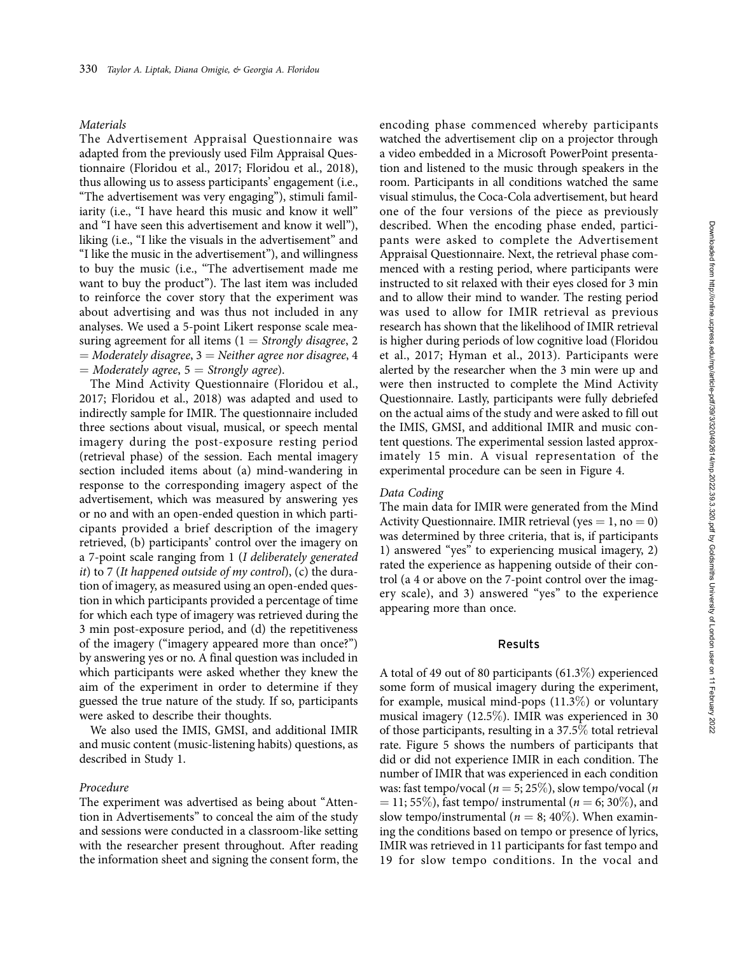#### Materials

The Advertisement Appraisal Questionnaire was adapted from the previously used Film Appraisal Questionnaire (Floridou et al., 2017; Floridou et al., 2018), thus allowing us to assess participants' engagement (i.e., ''The advertisement was very engaging"), stimuli familiarity (i.e., "I have heard this music and know it well" and ''I have seen this advertisement and know it well"), liking (i.e., "I like the visuals in the advertisement" and ''I like the music in the advertisement"), and willingness to buy the music (i.e., ''The advertisement made me want to buy the product"). The last item was included to reinforce the cover story that the experiment was about advertising and was thus not included in any analyses. We used a 5-point Likert response scale measuring agreement for all items  $(1 =$  Strongly disagree, 2  $=$  Moderately disagree,  $3$   $=$  Neither agree nor disagree, 4  $=$  Moderately agree,  $5$   $=$  Strongly agree).

The Mind Activity Questionnaire (Floridou et al., 2017; Floridou et al., 2018) was adapted and used to indirectly sample for IMIR. The questionnaire included three sections about visual, musical, or speech mental imagery during the post-exposure resting period (retrieval phase) of the session. Each mental imagery section included items about (a) mind-wandering in response to the corresponding imagery aspect of the advertisement, which was measured by answering yes or no and with an open-ended question in which participants provided a brief description of the imagery retrieved, (b) participants' control over the imagery on a 7-point scale ranging from 1 (I deliberately generated it) to 7 (It happened outside of my control), (c) the duration of imagery, as measured using an open-ended question in which participants provided a percentage of time for which each type of imagery was retrieved during the 3 min post-exposure period, and (d) the repetitiveness of the imagery (''imagery appeared more than once?") by answering yes or no. A final question was included in which participants were asked whether they knew the aim of the experiment in order to determine if they guessed the true nature of the study. If so, participants were asked to describe their thoughts.

We also used the IMIS, GMSI, and additional IMIR and music content (music-listening habits) questions, as described in Study 1.

#### Procedure

The experiment was advertised as being about ''Attention in Advertisements" to conceal the aim of the study and sessions were conducted in a classroom-like setting with the researcher present throughout. After reading the information sheet and signing the consent form, the encoding phase commenced whereby participants watched the advertisement clip on a projector through a video embedded in a Microsoft PowerPoint presentation and listened to the music through speakers in the room. Participants in all conditions watched the same visual stimulus, the Coca-Cola advertisement, but heard one of the four versions of the piece as previously described. When the encoding phase ended, participants were asked to complete the Advertisement Appraisal Questionnaire. Next, the retrieval phase commenced with a resting period, where participants were instructed to sit relaxed with their eyes closed for 3 min and to allow their mind to wander. The resting period was used to allow for IMIR retrieval as previous research has shown that the likelihood of IMIR retrieval is higher during periods of low cognitive load (Floridou et al., 2017; Hyman et al., 2013). Participants were alerted by the researcher when the 3 min were up and were then instructed to complete the Mind Activity Questionnaire. Lastly, participants were fully debriefed on the actual aims of the study and were asked to fill out the IMIS, GMSI, and additional IMIR and music content questions. The experimental session lasted approximately 15 min. A visual representation of the experimental procedure can be seen in Figure 4.

#### Data Coding

The main data for IMIR were generated from the Mind Activity Questionnaire. IMIR retrieval (yes  $= 1$ , no  $= 0$ ) was determined by three criteria, that is, if participants 1) answered ''yes" to experiencing musical imagery, 2) rated the experience as happening outside of their control (a 4 or above on the 7-point control over the imagery scale), and 3) answered "yes" to the experience appearing more than once.

## Results

A total of 49 out of 80 participants (61.3%) experienced some form of musical imagery during the experiment, for example, musical mind-pops (11.3%) or voluntary musical imagery (12.5%). IMIR was experienced in 30 of those participants, resulting in a 37.5% total retrieval rate. Figure 5 shows the numbers of participants that did or did not experience IMIR in each condition. The number of IMIR that was experienced in each condition was: fast tempo/vocal ( $n = 5$ ; 25%), slow tempo/vocal (*n*)  $= 11; 55\%$ ), fast tempo/ instrumental ( $n = 6; 30\%$ ), and slow tempo/instrumental ( $n = 8$ ; 40%). When examining the conditions based on tempo or presence of lyrics, IMIR was retrieved in 11 participants for fast tempo and 19 for slow tempo conditions. In the vocal and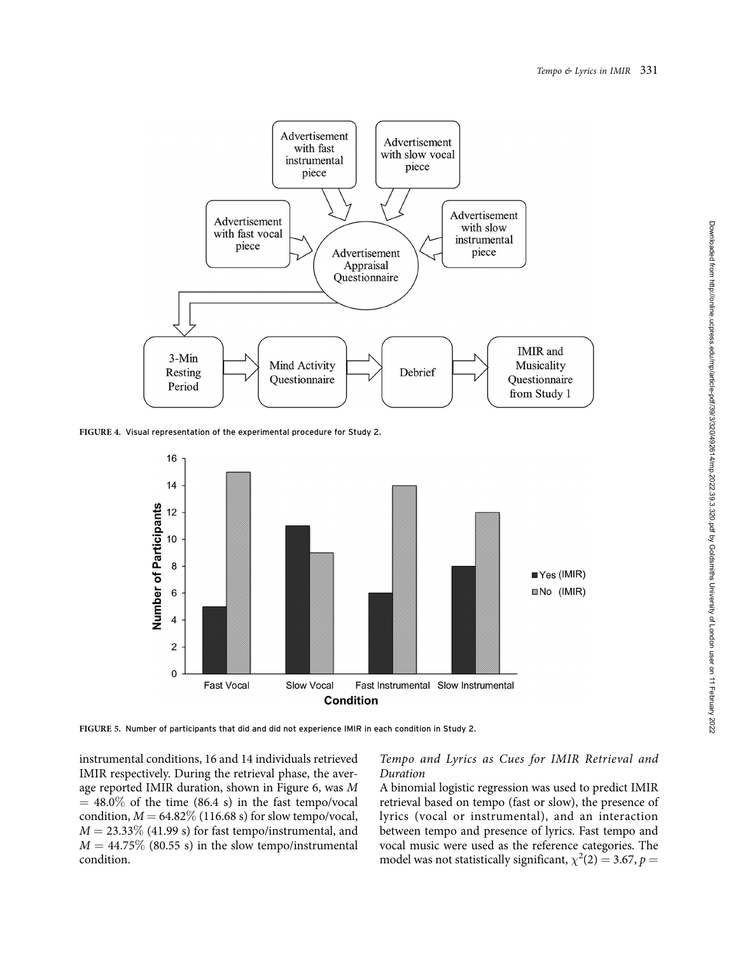

FIGURE 4. Visual representation of the experimental procedure for Study 2.



FIGURE 5. Number of participants that did and did not experience IMIR in each condition in Study 2.

instrumental conditions, 16 and 14 individuals retrieved IMIR respectively. During the retrieval phase, the average reported IMIR duration, shown in Figure 6, was M  $= 48.0\%$  of the time (86.4 s) in the fast tempo/vocal condition,  $M = 64.82\%$  (116.68 s) for slow tempo/vocal,  $M = 23.33\%$  (41.99 s) for fast tempo/instrumental, and  $M = 44.75\%$  (80.55 s) in the slow tempo/instrumental condition.

# Tempo and Lyrics as Cues for IMIR Retrieval and Duration

A binomial logistic regression was used to predict IMIR retrieval based on tempo (fast or slow), the presence of lyrics (vocal or instrumental), and an interaction between tempo and presence of lyrics. Fast tempo and vocal music were used as the reference categories. The model was not statistically significant,  $\chi^2(2) = 3.67$ ,  $p =$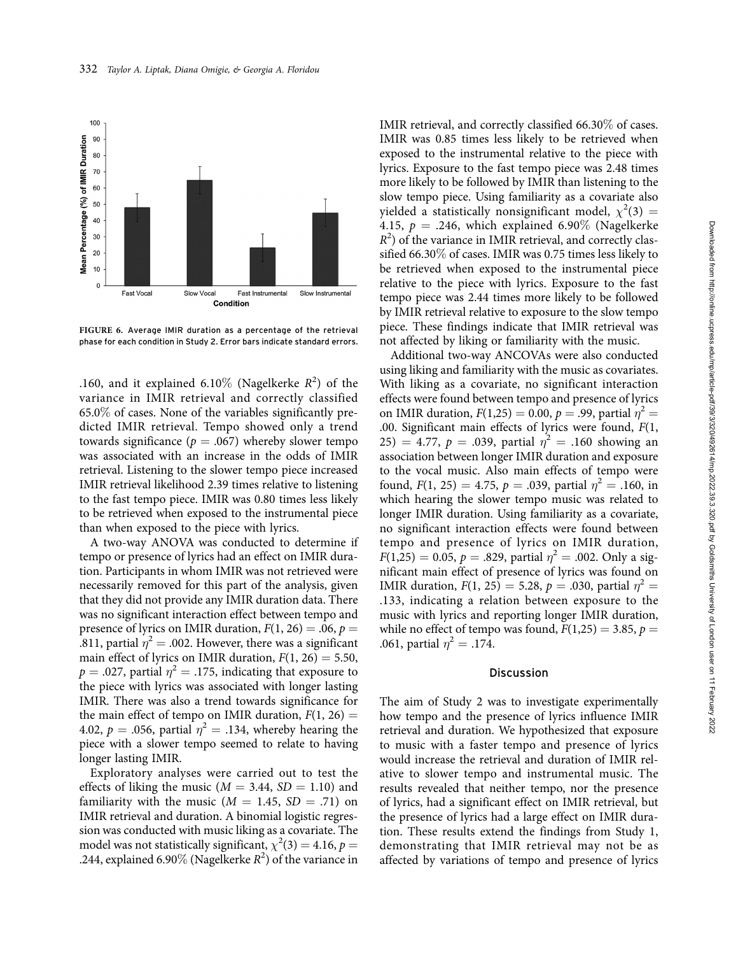

FIGURE 6. Average IMIR duration as a percentage of the retrieval phase for each condition in Study 2. Error bars indicate standard errors.

.160, and it explained 6.10% (Nagelkerke  $R^2$ ) of the variance in IMIR retrieval and correctly classified  $65.0\%$  of cases. None of the variables significantly predicted IMIR retrieval. Tempo showed only a trend towards significance ( $p = .067$ ) whereby slower tempo was associated with an increase in the odds of IMIR retrieval. Listening to the slower tempo piece increased IMIR retrieval likelihood 2.39 times relative to listening to the fast tempo piece. IMIR was 0.80 times less likely to be retrieved when exposed to the instrumental piece than when exposed to the piece with lyrics.

A two-way ANOVA was conducted to determine if tempo or presence of lyrics had an effect on IMIR duration. Participants in whom IMIR was not retrieved were necessarily removed for this part of the analysis, given that they did not provide any IMIR duration data. There was no significant interaction effect between tempo and presence of lyrics on IMIR duration,  $F(1, 26) = .06$ ,  $p =$ .811, partial  $\eta^2 = .002$ . However, there was a significant main effect of lyrics on IMIR duration,  $F(1, 26) = 5.50$ ,  $p = .027$ , partial  $\eta^2 = .175$ , indicating that exposure to the piece with lyrics was associated with longer lasting IMIR. There was also a trend towards significance for the main effect of tempo on IMIR duration,  $F(1, 26) =$ 4.02,  $p = .056$ , partial  $\eta^2 = .134$ , whereby hearing the piece with a slower tempo seemed to relate to having longer lasting IMIR.

Exploratory analyses were carried out to test the effects of liking the music ( $M = 3.44$ ,  $SD = 1.10$ ) and familiarity with the music  $(M = 1.45, SD = .71)$  on IMIR retrieval and duration. A binomial logistic regression was conducted with music liking as a covariate. The model was not statistically significant,  $\chi^2(3) = 4.16$ ,  $p =$ .244, explained 6.90% (Nagelkerke  $R^2$ ) of the variance in IMIR retrieval, and correctly classified 66.30% of cases. IMIR was 0.85 times less likely to be retrieved when exposed to the instrumental relative to the piece with lyrics. Exposure to the fast tempo piece was 2.48 times more likely to be followed by IMIR than listening to the slow tempo piece. Using familiarity as a covariate also yielded a statistically nonsignificant model,  $\chi^2(3) =$ 4.15,  $p = .246$ , which explained 6.90% (Nagelkerke  $R<sup>2</sup>$ ) of the variance in IMIR retrieval, and correctly classified 66.30% of cases. IMIR was 0.75 times less likely to be retrieved when exposed to the instrumental piece relative to the piece with lyrics. Exposure to the fast tempo piece was 2.44 times more likely to be followed by IMIR retrieval relative to exposure to the slow tempo piece. These findings indicate that IMIR retrieval was not affected by liking or familiarity with the music.

Additional two-way ANCOVAs were also conducted using liking and familiarity with the music as covariates. With liking as a covariate, no significant interaction effects were found between tempo and presence of lyrics on IMIR duration,  $F(1,25) = 0.00$ ,  $p = .99$ , partial  $\eta^2 =$ .00. Significant main effects of lyrics were found, F(1, 25) = 4.77,  $p = .039$ , partial  $\eta^2 = .160$  showing an association between longer IMIR duration and exposure to the vocal music. Also main effects of tempo were found,  $F(1, 25) = 4.75$ ,  $p = .039$ , partial  $\eta^2 = .160$ , in which hearing the slower tempo music was related to longer IMIR duration. Using familiarity as a covariate, no significant interaction effects were found between tempo and presence of lyrics on IMIR duration,  $F(1,25) = 0.05$ ,  $p = .829$ , partial  $\eta^2 = .002$ . Only a significant main effect of presence of lyrics was found on IMIR duration,  $F(1, 25) = 5.28$ ,  $p = .030$ , partial  $\eta^2 =$ .133, indicating a relation between exposure to the music with lyrics and reporting longer IMIR duration, while no effect of tempo was found,  $F(1,25) = 3.85$ ,  $p =$ .061, partial  $\eta^2 = .174$ .

#### Discussion

The aim of Study 2 was to investigate experimentally how tempo and the presence of lyrics influence IMIR retrieval and duration. We hypothesized that exposure to music with a faster tempo and presence of lyrics would increase the retrieval and duration of IMIR relative to slower tempo and instrumental music. The results revealed that neither tempo, nor the presence of lyrics, had a significant effect on IMIR retrieval, but the presence of lyrics had a large effect on IMIR duration. These results extend the findings from Study 1, demonstrating that IMIR retrieval may not be as affected by variations of tempo and presence of lyrics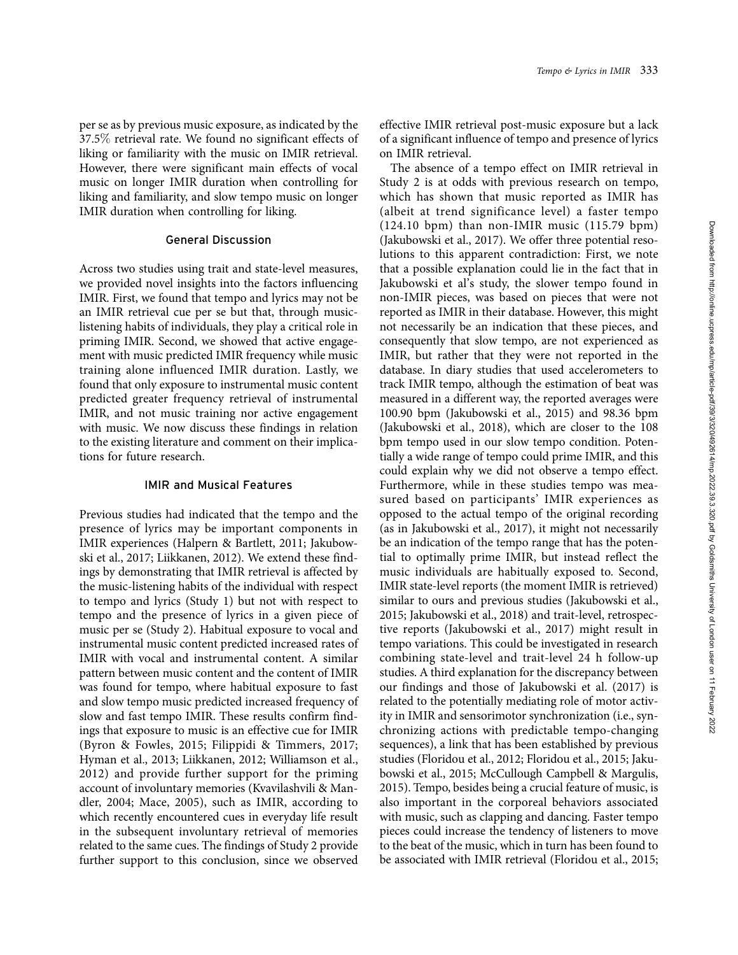per se as by previous music exposure, as indicated by the 37.5% retrieval rate. We found no significant effects of liking or familiarity with the music on IMIR retrieval. However, there were significant main effects of vocal music on longer IMIR duration when controlling for liking and familiarity, and slow tempo music on longer IMIR duration when controlling for liking.

## General Discussion

Across two studies using trait and state-level measures, we provided novel insights into the factors influencing IMIR. First, we found that tempo and lyrics may not be an IMIR retrieval cue per se but that, through musiclistening habits of individuals, they play a critical role in priming IMIR. Second, we showed that active engagement with music predicted IMIR frequency while music training alone influenced IMIR duration. Lastly, we found that only exposure to instrumental music content predicted greater frequency retrieval of instrumental IMIR, and not music training nor active engagement with music. We now discuss these findings in relation to the existing literature and comment on their implications for future research.

# IMIR and Musical Features

Previous studies had indicated that the tempo and the presence of lyrics may be important components in IMIR experiences (Halpern & Bartlett, 2011; Jakubowski et al., 2017; Liikkanen, 2012). We extend these findings by demonstrating that IMIR retrieval is affected by the music-listening habits of the individual with respect to tempo and lyrics (Study 1) but not with respect to tempo and the presence of lyrics in a given piece of music per se (Study 2). Habitual exposure to vocal and instrumental music content predicted increased rates of IMIR with vocal and instrumental content. A similar pattern between music content and the content of IMIR was found for tempo, where habitual exposure to fast and slow tempo music predicted increased frequency of slow and fast tempo IMIR. These results confirm findings that exposure to music is an effective cue for IMIR (Byron & Fowles, 2015; Filippidi & Timmers, 2017; Hyman et al., 2013; Liikkanen, 2012; Williamson et al., 2012) and provide further support for the priming account of involuntary memories (Kvavilashvili & Mandler, 2004; Mace, 2005), such as IMIR, according to which recently encountered cues in everyday life result in the subsequent involuntary retrieval of memories related to the same cues. The findings of Study 2 provide further support to this conclusion, since we observed

effective IMIR retrieval post-music exposure but a lack of a significant influence of tempo and presence of lyrics on IMIR retrieval.

The absence of a tempo effect on IMIR retrieval in Study 2 is at odds with previous research on tempo, which has shown that music reported as IMIR has (albeit at trend significance level) a faster tempo (124.10 bpm) than non-IMIR music (115.79 bpm) (Jakubowski et al., 2017). We offer three potential resolutions to this apparent contradiction: First, we note that a possible explanation could lie in the fact that in Jakubowski et al's study, the slower tempo found in non-IMIR pieces, was based on pieces that were not reported as IMIR in their database. However, this might not necessarily be an indication that these pieces, and consequently that slow tempo, are not experienced as IMIR, but rather that they were not reported in the database. In diary studies that used accelerometers to track IMIR tempo, although the estimation of beat was measured in a different way, the reported averages were 100.90 bpm (Jakubowski et al., 2015) and 98.36 bpm (Jakubowski et al., 2018), which are closer to the 108 bpm tempo used in our slow tempo condition. Potentially a wide range of tempo could prime IMIR, and this could explain why we did not observe a tempo effect. Furthermore, while in these studies tempo was measured based on participants' IMIR experiences as opposed to the actual tempo of the original recording (as in Jakubowski et al., 2017), it might not necessarily be an indication of the tempo range that has the potential to optimally prime IMIR, but instead reflect the music individuals are habitually exposed to. Second, IMIR state-level reports (the moment IMIR is retrieved) similar to ours and previous studies (Jakubowski et al., 2015; Jakubowski et al., 2018) and trait-level, retrospective reports (Jakubowski et al., 2017) might result in tempo variations. This could be investigated in research combining state-level and trait-level 24 h follow-up studies. A third explanation for the discrepancy between our findings and those of Jakubowski et al. (2017) is related to the potentially mediating role of motor activity in IMIR and sensorimotor synchronization (i.e., synchronizing actions with predictable tempo-changing sequences), a link that has been established by previous studies (Floridou et al., 2012; Floridou et al., 2015; Jakubowski et al., 2015; McCullough Campbell & Margulis, 2015). Tempo, besides being a crucial feature of music, is also important in the corporeal behaviors associated with music, such as clapping and dancing. Faster tempo pieces could increase the tendency of listeners to move to the beat of the music, which in turn has been found to be associated with IMIR retrieval (Floridou et al., 2015;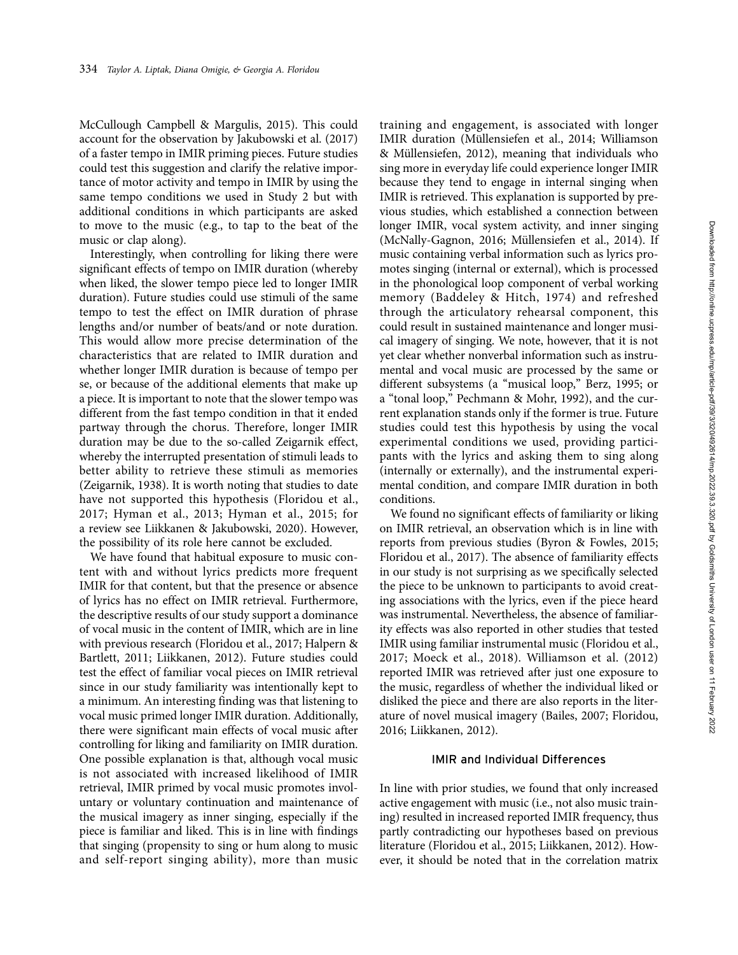McCullough Campbell & Margulis, 2015). This could account for the observation by Jakubowski et al. (2017) of a faster tempo in IMIR priming pieces. Future studies could test this suggestion and clarify the relative importance of motor activity and tempo in IMIR by using the same tempo conditions we used in Study 2 but with additional conditions in which participants are asked to move to the music (e.g., to tap to the beat of the music or clap along).

Interestingly, when controlling for liking there were significant effects of tempo on IMIR duration (whereby when liked, the slower tempo piece led to longer IMIR duration). Future studies could use stimuli of the same tempo to test the effect on IMIR duration of phrase lengths and/or number of beats/and or note duration. This would allow more precise determination of the characteristics that are related to IMIR duration and whether longer IMIR duration is because of tempo per se, or because of the additional elements that make up a piece. It is important to note that the slower tempo was different from the fast tempo condition in that it ended partway through the chorus. Therefore, longer IMIR duration may be due to the so-called Zeigarnik effect, whereby the interrupted presentation of stimuli leads to better ability to retrieve these stimuli as memories (Zeigarnik, 1938). It is worth noting that studies to date have not supported this hypothesis (Floridou et al., 2017; Hyman et al., 2013; Hyman et al., 2015; for a review see Liikkanen & Jakubowski, 2020). However, the possibility of its role here cannot be excluded.

We have found that habitual exposure to music content with and without lyrics predicts more frequent IMIR for that content, but that the presence or absence of lyrics has no effect on IMIR retrieval. Furthermore, the descriptive results of our study support a dominance of vocal music in the content of IMIR, which are in line with previous research (Floridou et al., 2017; Halpern & Bartlett, 2011; Liikkanen, 2012). Future studies could test the effect of familiar vocal pieces on IMIR retrieval since in our study familiarity was intentionally kept to a minimum. An interesting finding was that listening to vocal music primed longer IMIR duration. Additionally, there were significant main effects of vocal music after controlling for liking and familiarity on IMIR duration. One possible explanation is that, although vocal music is not associated with increased likelihood of IMIR retrieval, IMIR primed by vocal music promotes involuntary or voluntary continuation and maintenance of the musical imagery as inner singing, especially if the piece is familiar and liked. This is in line with findings that singing (propensity to sing or hum along to music and self-report singing ability), more than music

training and engagement, is associated with longer IMIR duration (Müllensiefen et al., 2014; Williamson & Müllensiefen, 2012), meaning that individuals who sing more in everyday life could experience longer IMIR because they tend to engage in internal singing when IMIR is retrieved. This explanation is supported by previous studies, which established a connection between longer IMIR, vocal system activity, and inner singing (McNally-Gagnon, 2016; Müllensiefen et al., 2014). If music containing verbal information such as lyrics promotes singing (internal or external), which is processed in the phonological loop component of verbal working memory (Baddeley & Hitch, 1974) and refreshed through the articulatory rehearsal component, this could result in sustained maintenance and longer musical imagery of singing. We note, however, that it is not yet clear whether nonverbal information such as instrumental and vocal music are processed by the same or different subsystems (a "musical loop," Berz, 1995; or a ''tonal loop," Pechmann & Mohr, 1992), and the current explanation stands only if the former is true. Future studies could test this hypothesis by using the vocal experimental conditions we used, providing participants with the lyrics and asking them to sing along (internally or externally), and the instrumental experimental condition, and compare IMIR duration in both conditions.

We found no significant effects of familiarity or liking on IMIR retrieval, an observation which is in line with reports from previous studies (Byron & Fowles, 2015; Floridou et al., 2017). The absence of familiarity effects in our study is not surprising as we specifically selected the piece to be unknown to participants to avoid creating associations with the lyrics, even if the piece heard was instrumental. Nevertheless, the absence of familiarity effects was also reported in other studies that tested IMIR using familiar instrumental music (Floridou et al., 2017; Moeck et al., 2018). Williamson et al. (2012) reported IMIR was retrieved after just one exposure to the music, regardless of whether the individual liked or disliked the piece and there are also reports in the literature of novel musical imagery (Bailes, 2007; Floridou, 2016; Liikkanen, 2012).

## IMIR and Individual Differences

In line with prior studies, we found that only increased active engagement with music (i.e., not also music training) resulted in increased reported IMIR frequency, thus partly contradicting our hypotheses based on previous literature (Floridou et al., 2015; Liikkanen, 2012). However, it should be noted that in the correlation matrix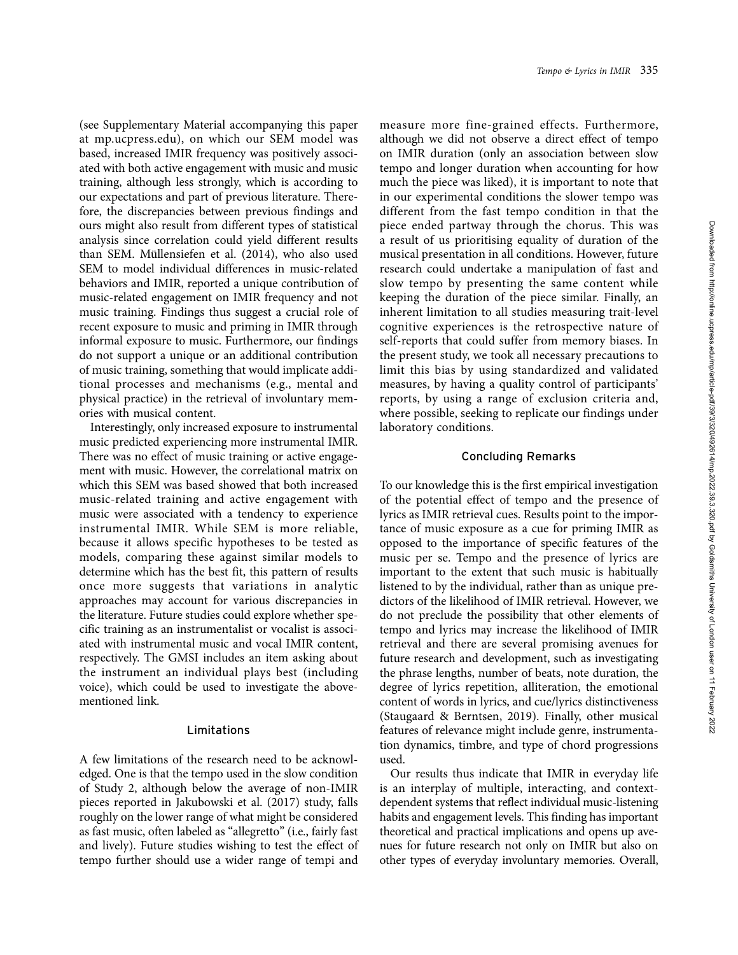(see Supplementary Material accompanying this paper at [mp.ucpress.edu\)](mp.ucpress.edu), on which our SEM model was based, increased IMIR frequency was positively associated with both active engagement with music and music training, although less strongly, which is according to our expectations and part of previous literature. Therefore, the discrepancies between previous findings and ours might also result from different types of statistical analysis since correlation could yield different results than SEM. Müllensiefen et al. (2014), who also used SEM to model individual differences in music-related behaviors and IMIR, reported a unique contribution of music-related engagement on IMIR frequency and not music training. Findings thus suggest a crucial role of recent exposure to music and priming in IMIR through informal exposure to music. Furthermore, our findings do not support a unique or an additional contribution of music training, something that would implicate additional processes and mechanisms (e.g., mental and physical practice) in the retrieval of involuntary memories with musical content.

Interestingly, only increased exposure to instrumental music predicted experiencing more instrumental IMIR. There was no effect of music training or active engagement with music. However, the correlational matrix on which this SEM was based showed that both increased music-related training and active engagement with music were associated with a tendency to experience instrumental IMIR. While SEM is more reliable, because it allows specific hypotheses to be tested as models, comparing these against similar models to determine which has the best fit, this pattern of results once more suggests that variations in analytic approaches may account for various discrepancies in the literature. Future studies could explore whether specific training as an instrumentalist or vocalist is associated with instrumental music and vocal IMIR content, respectively. The GMSI includes an item asking about the instrument an individual plays best (including voice), which could be used to investigate the abovementioned link.

## Limitations

A few limitations of the research need to be acknowledged. One is that the tempo used in the slow condition of Study 2, although below the average of non-IMIR pieces reported in Jakubowski et al. (2017) study, falls roughly on the lower range of what might be considered as fast music, often labeled as ''allegretto" (i.e., fairly fast and lively). Future studies wishing to test the effect of tempo further should use a wider range of tempi and

measure more fine-grained effects. Furthermore, although we did not observe a direct effect of tempo on IMIR duration (only an association between slow tempo and longer duration when accounting for how much the piece was liked), it is important to note that in our experimental conditions the slower tempo was different from the fast tempo condition in that the piece ended partway through the chorus. This was a result of us prioritising equality of duration of the musical presentation in all conditions. However, future research could undertake a manipulation of fast and slow tempo by presenting the same content while keeping the duration of the piece similar. Finally, an inherent limitation to all studies measuring trait-level cognitive experiences is the retrospective nature of self-reports that could suffer from memory biases. In the present study, we took all necessary precautions to limit this bias by using standardized and validated measures, by having a quality control of participants' reports, by using a range of exclusion criteria and, where possible, seeking to replicate our findings under laboratory conditions.

## Concluding Remarks

To our knowledge this is the first empirical investigation of the potential effect of tempo and the presence of lyrics as IMIR retrieval cues. Results point to the importance of music exposure as a cue for priming IMIR as opposed to the importance of specific features of the music per se. Tempo and the presence of lyrics are important to the extent that such music is habitually listened to by the individual, rather than as unique predictors of the likelihood of IMIR retrieval. However, we do not preclude the possibility that other elements of tempo and lyrics may increase the likelihood of IMIR retrieval and there are several promising avenues for future research and development, such as investigating the phrase lengths, number of beats, note duration, the degree of lyrics repetition, alliteration, the emotional content of words in lyrics, and cue/lyrics distinctiveness (Staugaard & Berntsen, 2019). Finally, other musical features of relevance might include genre, instrumentation dynamics, timbre, and type of chord progressions used.

Our results thus indicate that IMIR in everyday life is an interplay of multiple, interacting, and contextdependent systems that reflect individual music-listening habits and engagement levels. This finding has important theoretical and practical implications and opens up avenues for future research not only on IMIR but also on other types of everyday involuntary memories. Overall,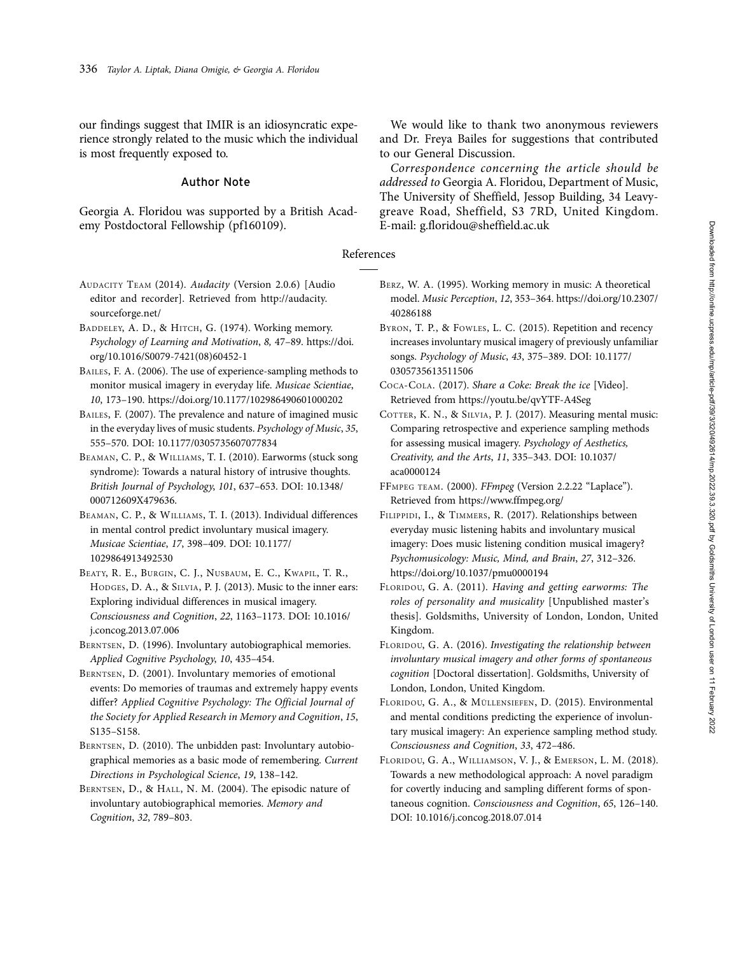our findings suggest that IMIR is an idiosyncratic experience strongly related to the music which the individual is most frequently exposed to.

## Author Note

Georgia A. Floridou was supported by a British Academy Postdoctoral Fellowship (pf160109).

We would like to thank two anonymous reviewers and Dr. Freya Bailes for suggestions that contributed to our General Discussion.

Correspondence concerning the article should be addressed to Georgia A. Floridou, Department of Music, The University of Sheffield, Jessop Building, 34 Leavygreave Road, Sheffield, S3 7RD, United Kingdom. E-mail: g.floridou@sheffield.ac.uk

## References

- AUDACITY TEAM (2014). Audacity (Version 2.0.6) [Audio editor and recorder]. Retrieved from [http://audacity.](http://audacity.sourceforge.net/) [sourceforge.net/](http://audacity.sourceforge.net/)
- BADDELEY, A. D., & HITCH, G. (1974). Working memory. Psychology of Learning and Motivation, 8, 47–89. [https://doi.](https://doi.org/10.1016/S0079-7421(08)60452-1) [org/10.1016/S0079-7421\(08\)60452-1](https://doi.org/10.1016/S0079-7421(08)60452-1)
- BAILES, F. A. (2006). The use of experience-sampling methods to monitor musical imagery in everyday life. Musicae Scientiae, 10, 173–190.<https://doi.org/10.1177/102986490601000202>
- BAILES, F. (2007). The prevalence and nature of imagined music in the everyday lives of music students. Psychology of Music, 35, 555–570. DOI: 10.1177/0305735607077834
- BEAMAN, C. P., & WILLIAMS, T. I. (2010). Earworms (stuck song syndrome): Towards a natural history of intrusive thoughts. British Journal of Psychology, 101, 637–653. DOI: 10.1348/ 000712609X479636.
- BEAMAN, C. P., & WILLIAMS, T. I. (2013). Individual differences in mental control predict involuntary musical imagery. Musicae Scientiae, 17, 398–409. DOI: 10.1177/ 1029864913492530
- BEATY, R. E., BURGIN, C. J., NUSBAUM, E. C., KWAPIL, T. R., HODGES, D. A., & SILVIA, P. J. (2013). Music to the inner ears: Exploring individual differences in musical imagery. Consciousness and Cognition, 22, 1163–1173. DOI: 10.1016/ j.concog.2013.07.006
- BERNTSEN, D. (1996). Involuntary autobiographical memories. Applied Cognitive Psychology, 10, 435–454.
- BERNTSEN, D. (2001). Involuntary memories of emotional events: Do memories of traumas and extremely happy events differ? Applied Cognitive Psychology: The Official Journal of the Society for Applied Research in Memory and Cognition, 15, S135–S158.
- BERNTSEN, D. (2010). The unbidden past: Involuntary autobiographical memories as a basic mode of remembering. Current Directions in Psychological Science, 19, 138–142.
- BERNTSEN, D., & HALL, N. M. (2004). The episodic nature of involuntary autobiographical memories. Memory and Cognition, 32, 789–803.
- BERZ, W. A. (1995). Working memory in music: A theoretical model. Music Perception, 12, 353–364. [https://doi.org/10.2307/](https://doi.org/10.2307/40286188) [40286188](https://doi.org/10.2307/40286188)
- BYRON, T. P., & FOWLES, L. C. (2015). Repetition and recency increases involuntary musical imagery of previously unfamiliar songs. Psychology of Music, 43, 375–389. DOI: 10.1177/ 0305735613511506
- COCA-COLA. (2017). Share a Coke: Break the ice [Video]. Retrieved from<https://youtu.be/qvYTF-A4Seg>
- COTTER, K. N., & SILVIA, P. J. (2017). Measuring mental music: Comparing retrospective and experience sampling methods for assessing musical imagery. Psychology of Aesthetics, Creativity, and the Arts, 11, 335–343. DOI: 10.1037/ aca0000124
- FFMPEG TEAM. (2000). FFmpeg (Version 2.2.22 "Laplace"). Retrieved from<https://www.ffmpeg.org/>
- FILIPPIDI, I., & TIMMERS, R. (2017). Relationships between everyday music listening habits and involuntary musical imagery: Does music listening condition musical imagery? Psychomusicology: Music, Mind, and Brain, 27, 312–326. <https://doi.org/10.1037/pmu0000194>
- FLORIDOU, G. A. (2011). Having and getting earworms: The roles of personality and musicality [Unpublished master's thesis]. Goldsmiths, University of London, London, United Kingdom.
- FLORIDOU, G. A. (2016). Investigating the relationship between involuntary musical imagery and other forms of spontaneous cognition [Doctoral dissertation]. Goldsmiths, University of London, London, United Kingdom.
- FLORIDOU, G. A., & MÜLLENSIEFEN, D. (2015). Environmental and mental conditions predicting the experience of involuntary musical imagery: An experience sampling method study. Consciousness and Cognition, 33, 472–486.
- FLORIDOU, G. A., WILLIAMSON, V. J., & EMERSON, L. M. (2018). Towards a new methodological approach: A novel paradigm for covertly inducing and sampling different forms of spontaneous cognition. Consciousness and Cognition, 65, 126–140. DOI: 10.1016/j.concog.2018.07.014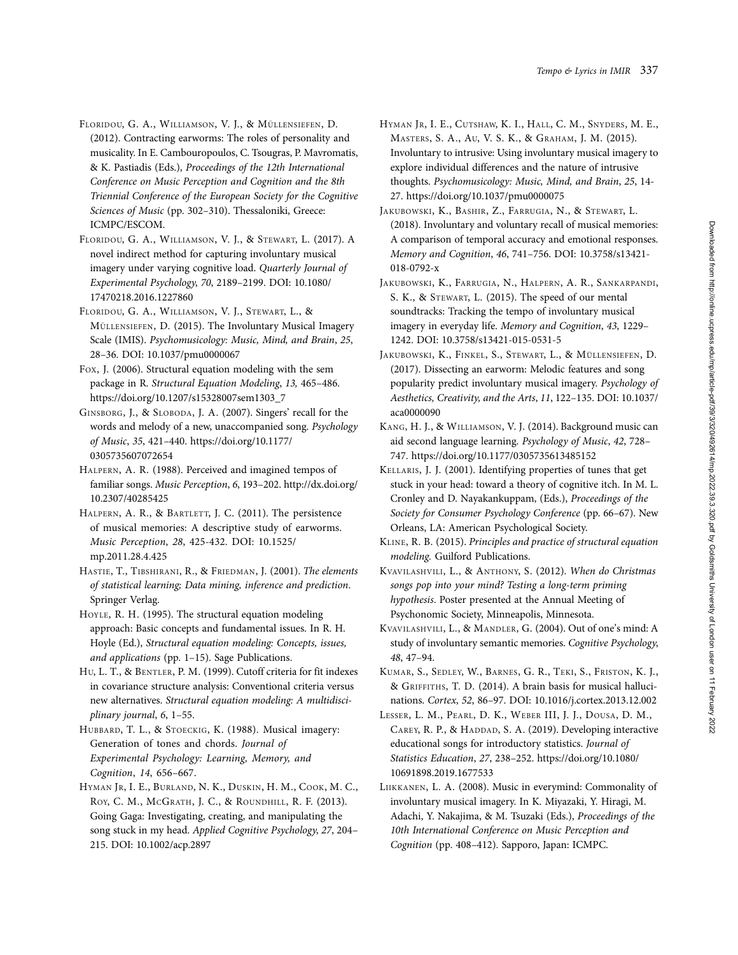- FLORIDOU, G. A., WILLIAMSON, V. J., & MÜLLENSIEFEN, D. (2012). Contracting earworms: The roles of personality and musicality. In E. Cambouropoulos, C. Tsougras, P. Mavromatis, & K. Pastiadis (Eds.), Proceedings of the 12th International Conference on Music Perception and Cognition and the 8th Triennial Conference of the European Society for the Cognitive Sciences of Music (pp. 302-310). Thessaloniki, Greece: ICMPC/ESCOM.
- FLORIDOU, G. A., WILLIAMSON, V. J., & STEWART, L. (2017). A novel indirect method for capturing involuntary musical imagery under varying cognitive load. Quarterly Journal of Experimental Psychology, 70, 2189–2199. DOI: 10.1080/ 17470218.2016.1227860
- FLORIDOU, G. A., WILLIAMSON, V. J., STEWART, L., & MÜLLENSIEFEN, D. (2015). The Involuntary Musical Imagery Scale (IMIS). Psychomusicology: Music, Mind, and Brain, 25, 28–36. DOI: 10.1037/pmu0000067
- FOX, J. (2006). Structural equation modeling with the sem package in R. Structural Equation Modeling, 13, 465–486. [https://doi.org/10.1207/s15328007sem1303\\_7](https://doi.org/10.1207/s15328007sem1303_7)
- GINSBORG, J., & SLOBODA, J. A. (2007). Singers' recall for the words and melody of a new, unaccompanied song. Psychology of Music, 35, 421–440. [https://doi.org/10.1177/](https://doi.org/10.1177/0305735607072654) [0305735607072654](https://doi.org/10.1177/0305735607072654)
- HALPERN, A. R. (1988). Perceived and imagined tempos of familiar songs. Music Perception, 6, 193–202. [http://dx.doi.org/](http://dx.doi.org/10.2307/40285425) [10.2307/40285425](http://dx.doi.org/10.2307/40285425)
- HALPERN, A. R., & BARTLETT, J. C. (2011). The persistence of musical memories: A descriptive study of earworms. Music Perception, 28, 425-432. DOI: 10.1525/ mp.2011.28.4.425
- HASTIE, T., TIBSHIRANI, R., & FRIEDMAN, J. (2001). The elements of statistical learning; Data mining, inference and prediction. Springer Verlag.
- HOYLE, R. H. (1995). The structural equation modeling approach: Basic concepts and fundamental issues. In R. H. Hoyle (Ed.), Structural equation modeling: Concepts, issues, and applications (pp. 1–15). Sage Publications.
- HU, L. T., & BENTLER, P. M. (1999). Cutoff criteria for fit indexes in covariance structure analysis: Conventional criteria versus new alternatives. Structural equation modeling: A multidisciplinary journal, 6, 1–55.
- HUBBARD, T. L., & STOECKIG, K. (1988). Musical imagery: Generation of tones and chords. Journal of Experimental Psychology: Learning, Memory, and Cognition, 14, 656–667.
- HYMAN JR, I. E., BURLAND, N. K., DUSKIN, H. M., COOK, M. C., ROY, C. M., MCGRATH, J. C., & ROUNDHILL, R. F. (2013). Going Gaga: Investigating, creating, and manipulating the song stuck in my head. Applied Cognitive Psychology, 27, 204– 215. DOI: 10.1002/acp.2897
- HYMAN JR, I. E., CUTSHAW, K. I., HALL, C. M., SNYDERS, M. E., MASTERS, S. A., AU, V. S. K., & GRAHAM, J. M. (2015). Involuntary to intrusive: Using involuntary musical imagery to explore individual differences and the nature of intrusive thoughts. Psychomusicology: Music, Mind, and Brain, 25, 14- 27.<https://doi.org/10.1037/pmu0000075>
- JAKUBOWSKI, K., BASHIR, Z., FARRUGIA, N., & STEWART, L. (2018). Involuntary and voluntary recall of musical memories: A comparison of temporal accuracy and emotional responses. Memory and Cognition, 46, 741–756. DOI: 10.3758/s13421- 018-0792-x
- JAKUBOWSKI, K., FARRUGIA, N., HALPERN, A. R., SANKARPANDI, S. K., & STEWART, L. (2015). The speed of our mental soundtracks: Tracking the tempo of involuntary musical imagery in everyday life. Memory and Cognition, 43, 1229– 1242. DOI: 10.3758/s13421-015-0531-5
- JAKUBOWSKI, K., FINKEL, S., STEWART, L., & MÜLLENSIEFEN, D. (2017). Dissecting an earworm: Melodic features and song popularity predict involuntary musical imagery. Psychology of Aesthetics, Creativity, and the Arts, 11, 122–135. DOI: 10.1037/ aca0000090
- KANG, H. J., & WILLIAMSON, V. J. (2014). Background music can aid second language learning. Psychology of Music, 42, 728– 747.<https://doi.org/10.1177/0305735613485152>
- KELLARIS, J. J. (2001). Identifying properties of tunes that get stuck in your head: toward a theory of cognitive itch. In M. L. Cronley and D. Nayakankuppam, (Eds.), Proceedings of the Society for Consumer Psychology Conference (pp. 66–67). New Orleans, LA: American Psychological Society.
- KLINE, R. B. (2015). Principles and practice of structural equation modeling. Guilford Publications.
- KVAVILASHVILI, L., & ANTHONY, S. (2012). When do Christmas songs pop into your mind? Testing a long-term priming hypothesis. Poster presented at the Annual Meeting of Psychonomic Society, Minneapolis, Minnesota.
- KVAVILASHVILI, L., & MANDLER, G. (2004). Out of one's mind: A study of involuntary semantic memories. Cognitive Psychology, 48, 47–94.
- KUMAR, S., SEDLEY, W., BARNES, G. R., TEKI, S., FRISTON, K. J., & GRIFFITHS, T. D. (2014). A brain basis for musical hallucinations. Cortex, 52, 86–97. DOI: 10.1016/j.cortex.2013.12.002
- LESSER, L. M., PEARL, D. K., WEBER III, J. J., DOUSA, D. M., CAREY, R. P., & HADDAD, S. A. (2019). Developing interactive educational songs for introductory statistics. Journal of Statistics Education, 27, 238–252. [https://doi.org/10.1080/](https://doi.org/10.1080/10691898.2019.1677533) [10691898.2019.1677533](https://doi.org/10.1080/10691898.2019.1677533)
- LIIKKANEN, L. A. (2008). Music in everymind: Commonality of involuntary musical imagery. In K. Miyazaki, Y. Hiragi, M. Adachi, Y. Nakajima, & M. Tsuzaki (Eds.), Proceedings of the 10th International Conference on Music Perception and Cognition (pp. 408–412). Sapporo, Japan: ICMPC.